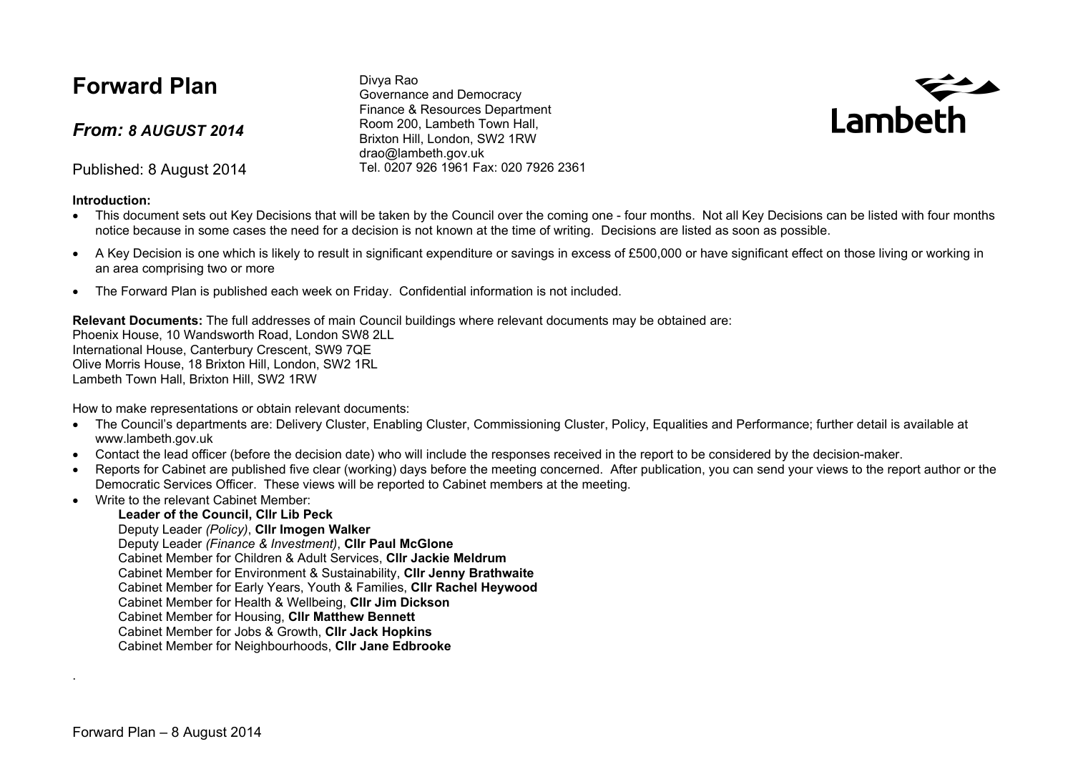# **Forward Plan**

*From: 8 AUGUST 2014*

Published: 8 August 2014

#### **Introduction:**

Divya Rao Governance and Democracy Finance & Resources Department Room 200, Lambeth Town Hall, Brixton Hill, London, SW2 1RW drao@lambeth.gov.uk Tel. 0207 926 1961 Fax: 020 7926 2361



- This document sets out Key Decisions that will be taken by the Council over the coming one four months. Not all Key Decisions can be listed with four months notice because in some cases the need for a decision is not known at the time of writing. Decisions are listed as soon as possible.
- A Key Decision is one which is likely to result in significant expenditure or savings in excess of £500,000 or have significant effect on those living or working in an area comprising two or more
- The Forward Plan is published each week on Friday. Confidential information is not included.

**Relevant Documents:** The full addresses of main Council buildings where relevant documents may be obtained are:

Phoenix House, 10 Wandsworth Road, London SW8 2LL International House, Canterbury Crescent, SW9 7QE Olive Morris House, 18 Brixton Hill, London, SW2 1RL Lambeth Town Hall, Brixton Hill, SW2 1RW

How to make representations or obtain relevant documents:

- The Council's departments are: Delivery Cluster, Enabling Cluster, Commissioning Cluster, Policy, Equalities and Performance: further detail is available at www.lambeth.gov.uk
- Contact the lead officer (before the decision date) who will include the responses received in the report to be considered by the decision-maker.
- Reports for Cabinet are published five clear (working) days before the meeting concerned. After publication, you can send your views to the report author or the Democratic Services Officer. These views will be reported to Cabinet members at the meeting.
- Write to the relevant Cabinet Member:

### **Leader of the Council, Cllr Lib Peck**

Deputy Leader *(Policy)*, **Cllr Imogen Walker**

Deputy Leader *(Finance & Investment)*, **Cllr Paul McGlone**

Cabinet Member for Children & Adult Services, **Cllr Jackie Meldrum**

Cabinet Member for Environment & Sustainability, **Cllr Jenny Brathwaite**

Cabinet Member for Early Years, Youth & Families, **Cllr Rachel Heywood**

Cabinet Member for Health & Wellbeing, **Cllr Jim Dickson**

Cabinet Member for Housing, **Cllr Matthew Bennett**

Cabinet Member for Jobs & Growth, **Cllr Jack Hopkins**

Cabinet Member for Neighbourhoods, **Cllr Jane Edbrooke**

.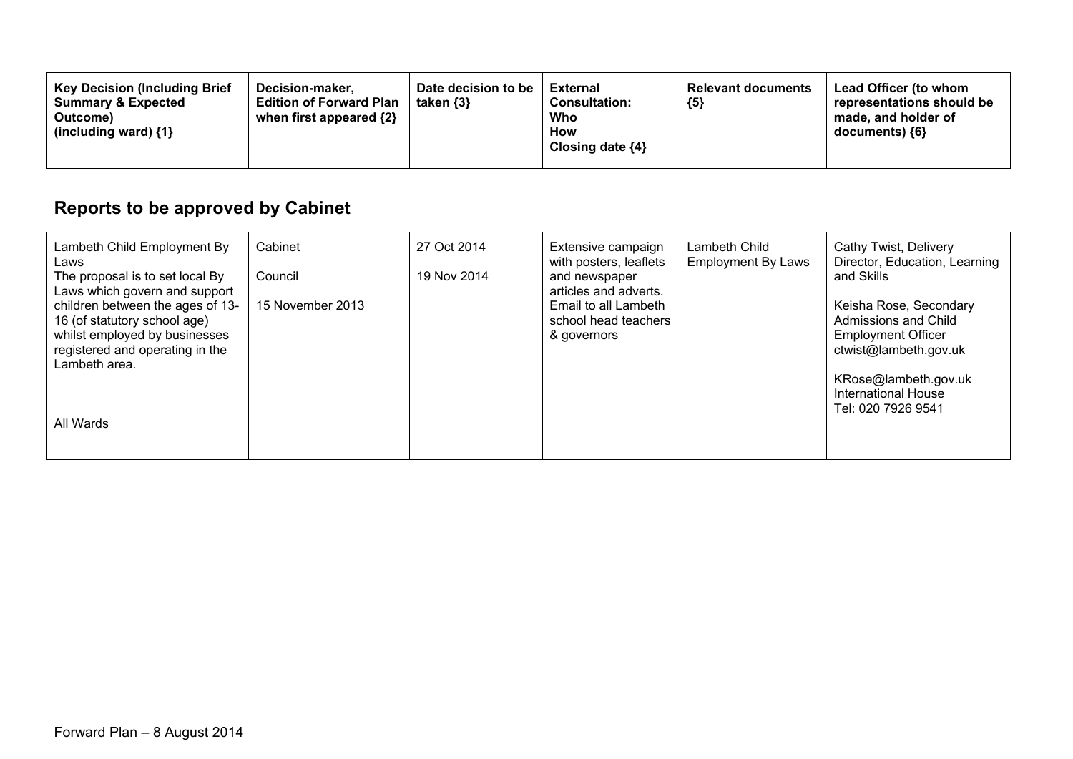| <b>Key Decision (Including Brief</b><br>Date decision to be<br>Decision-maker.<br><b>Summary &amp; Expected</b><br><b>Edition of Forward Plan</b><br>taken $\{3\}$<br>when first appeared {2}<br>Outcome)<br>(including ward) $\{1\}$ | <b>Relevant documents</b><br>External<br>${5}$<br><b>Consultation:</b><br>Who<br>How<br>Closing date $\{4\}$ | Lead Officer (to whom<br>representations should be<br>made, and holder of<br>documents) {6} |
|---------------------------------------------------------------------------------------------------------------------------------------------------------------------------------------------------------------------------------------|--------------------------------------------------------------------------------------------------------------|---------------------------------------------------------------------------------------------|
|---------------------------------------------------------------------------------------------------------------------------------------------------------------------------------------------------------------------------------------|--------------------------------------------------------------------------------------------------------------|---------------------------------------------------------------------------------------------|

# **Reports to be approved by Cabinet**

| Lambeth Child Employment By<br>Laws                                                                                                                                                    | Cabinet          | 27 Oct 2014 | Extensive campaign<br>with posters, leaflets                                         | Lambeth Child<br><b>Employment By Laws</b> | Cathy Twist, Delivery<br>Director, Education, Learning                                                                                                     |
|----------------------------------------------------------------------------------------------------------------------------------------------------------------------------------------|------------------|-------------|--------------------------------------------------------------------------------------|--------------------------------------------|------------------------------------------------------------------------------------------------------------------------------------------------------------|
| The proposal is to set local By                                                                                                                                                        | Council          | 19 Nov 2014 | and newspaper                                                                        |                                            | and Skills                                                                                                                                                 |
| Laws which govern and support<br>children between the ages of 13-<br>16 (of statutory school age)<br>whilst employed by businesses<br>registered and operating in the<br>Lambeth area. | 15 November 2013 |             | articles and adverts.<br>Email to all Lambeth<br>school head teachers<br>& governors |                                            | Keisha Rose, Secondary<br>Admissions and Child<br><b>Employment Officer</b><br>ctwist@lambeth.gov.uk<br>KRose@lambeth.gov.uk<br><b>International House</b> |
| All Wards                                                                                                                                                                              |                  |             |                                                                                      |                                            | Tel: 020 7926 9541                                                                                                                                         |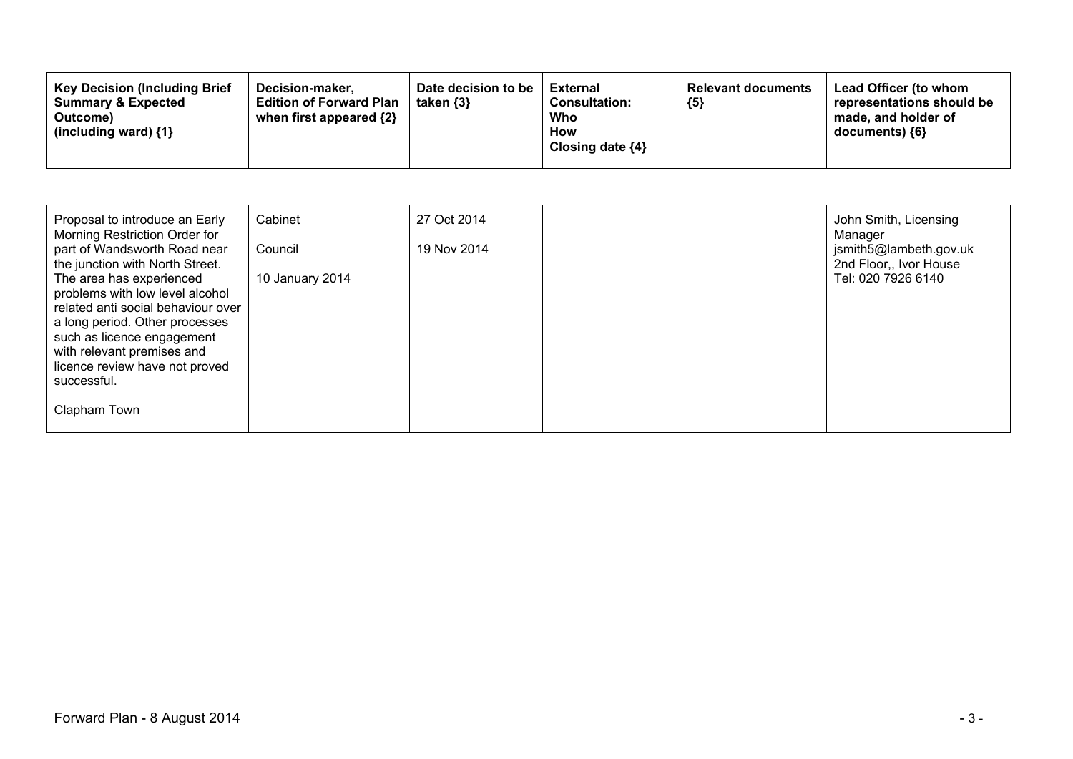| Proposal to introduce an Early<br>Morning Restriction Order for<br>part of Wandsworth Road near<br>the junction with North Street.<br>The area has experienced<br>problems with low level alcohol<br>related anti social behaviour over<br>a long period. Other processes | Cabinet<br>Council<br>10 January 2014 | 27 Oct 2014<br>19 Nov 2014 |  | John Smith, Licensing<br>Manager<br>jsmith5@lambeth.gov.uk<br>2nd Floor,, Ivor House<br>Tel: 020 7926 6140 |
|---------------------------------------------------------------------------------------------------------------------------------------------------------------------------------------------------------------------------------------------------------------------------|---------------------------------------|----------------------------|--|------------------------------------------------------------------------------------------------------------|
| such as licence engagement<br>with relevant premises and<br>licence review have not proved<br>successful.                                                                                                                                                                 |                                       |                            |  |                                                                                                            |
| Clapham Town                                                                                                                                                                                                                                                              |                                       |                            |  |                                                                                                            |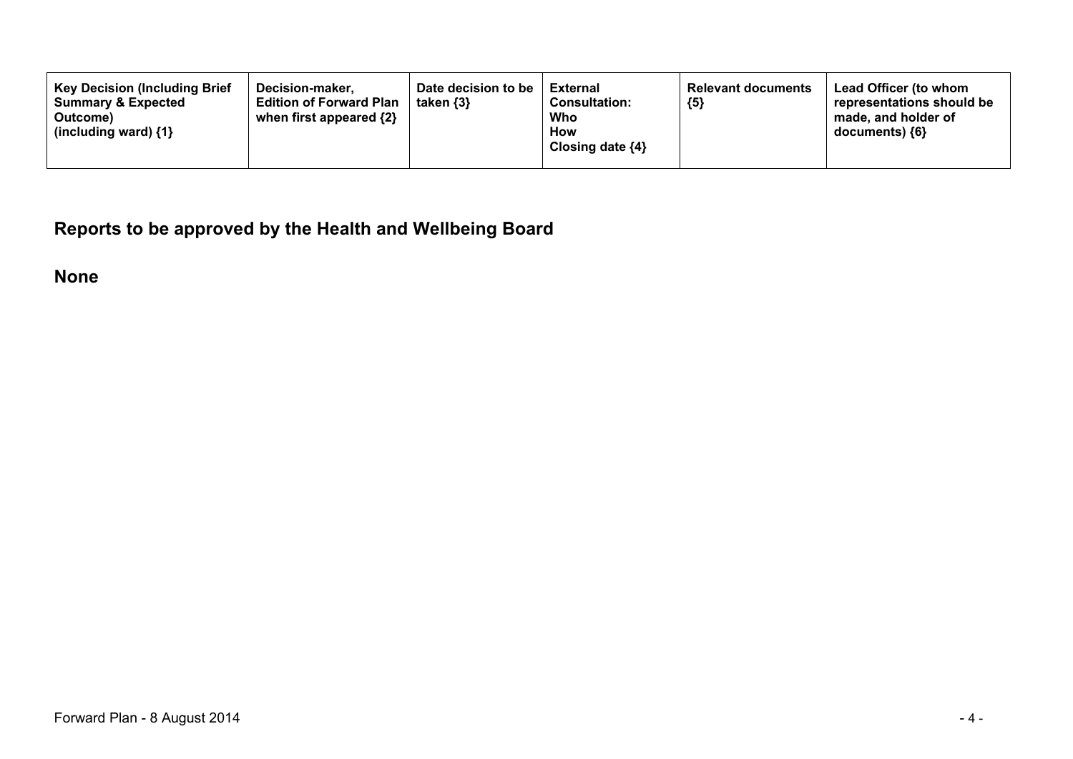**Reports to be approved by the Health and Wellbeing Board**

**None**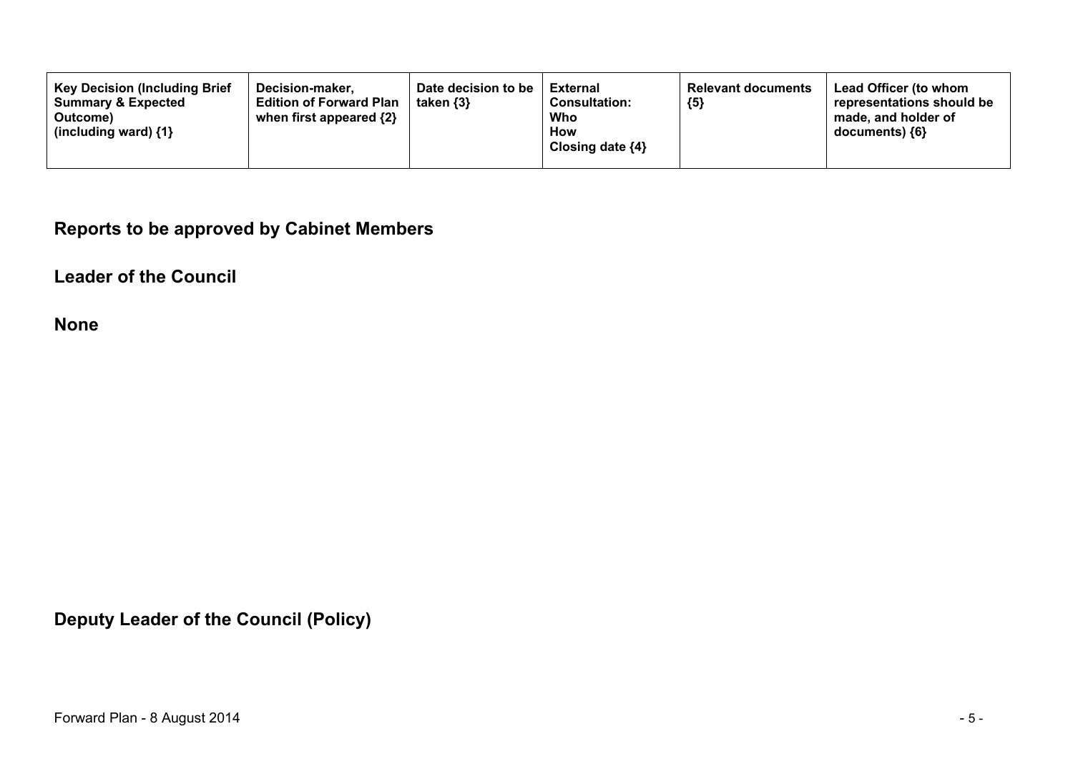**Reports to be approved by Cabinet Members**

**Leader of the Council**

**None**

**Deputy Leader of the Council (Policy)**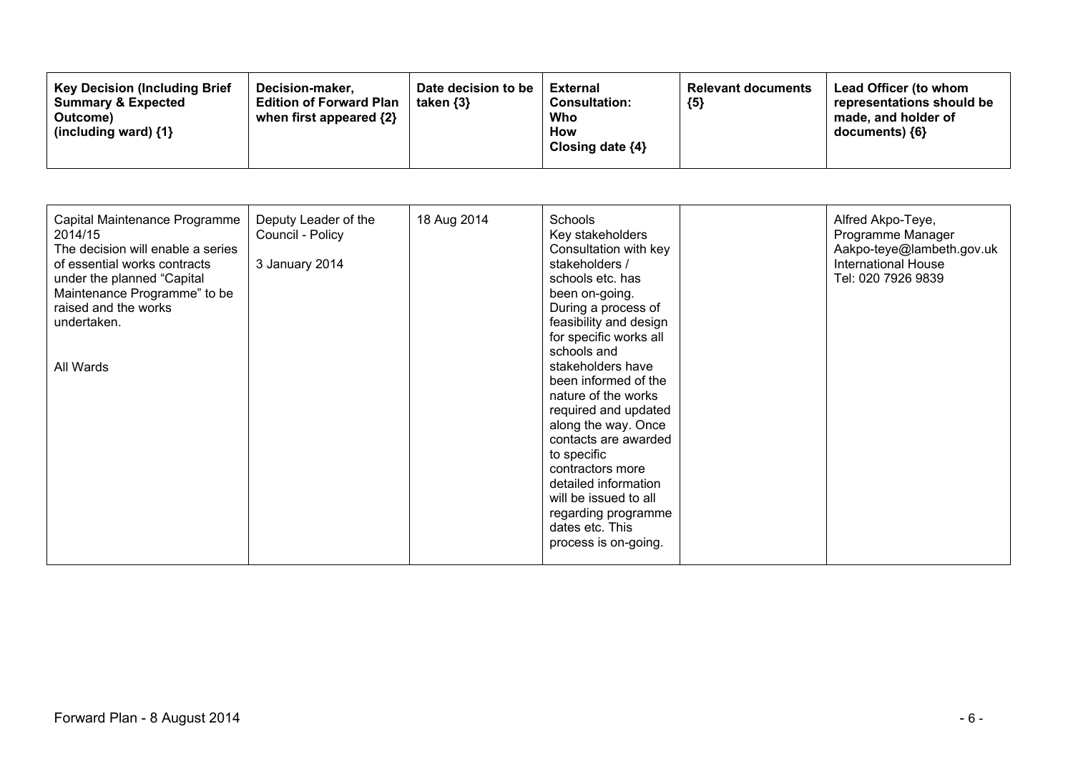| <b>Key Decision (Including Brief)</b><br>Decision-maker.<br><b>Summary &amp; Expected</b><br><b>Edition of Forward Plan</b><br>when first appeared {2}<br>Outcome)<br>(including ward) $\{1\}$ | Date decision to be<br>taken $\{3\}$ | External<br><b>Consultation:</b><br>Who<br>How<br>Closing date ${4}$ | <b>Relevant documents</b><br>${5}$ | Lead Officer (to whom<br>representations should be<br>made, and holder of<br>$documents)$ {6} |
|------------------------------------------------------------------------------------------------------------------------------------------------------------------------------------------------|--------------------------------------|----------------------------------------------------------------------|------------------------------------|-----------------------------------------------------------------------------------------------|
|------------------------------------------------------------------------------------------------------------------------------------------------------------------------------------------------|--------------------------------------|----------------------------------------------------------------------|------------------------------------|-----------------------------------------------------------------------------------------------|

| Capital Maintenance Programme<br>2014/15<br>The decision will enable a series<br>of essential works contracts<br>under the planned "Capital<br>Maintenance Programme" to be<br>raised and the works<br>undertaken.<br>All Wards | Deputy Leader of the<br>Council - Policy<br>3 January 2014 | 18 Aug 2014 | Schools<br>Key stakeholders<br>Consultation with key<br>stakeholders /<br>schools etc. has<br>been on-going.<br>During a process of<br>feasibility and design<br>for specific works all<br>schools and<br>stakeholders have<br>been informed of the<br>nature of the works<br>required and updated<br>along the way. Once<br>contacts are awarded<br>to specific<br>contractors more<br>detailed information<br>will be issued to all<br>regarding programme<br>dates etc. This<br>process is on-going. |  | Alfred Akpo-Teye,<br>Programme Manager<br>Aakpo-teye@lambeth.gov.uk<br><b>International House</b><br>Tel: 020 7926 9839 |
|---------------------------------------------------------------------------------------------------------------------------------------------------------------------------------------------------------------------------------|------------------------------------------------------------|-------------|---------------------------------------------------------------------------------------------------------------------------------------------------------------------------------------------------------------------------------------------------------------------------------------------------------------------------------------------------------------------------------------------------------------------------------------------------------------------------------------------------------|--|-------------------------------------------------------------------------------------------------------------------------|
|---------------------------------------------------------------------------------------------------------------------------------------------------------------------------------------------------------------------------------|------------------------------------------------------------|-------------|---------------------------------------------------------------------------------------------------------------------------------------------------------------------------------------------------------------------------------------------------------------------------------------------------------------------------------------------------------------------------------------------------------------------------------------------------------------------------------------------------------|--|-------------------------------------------------------------------------------------------------------------------------|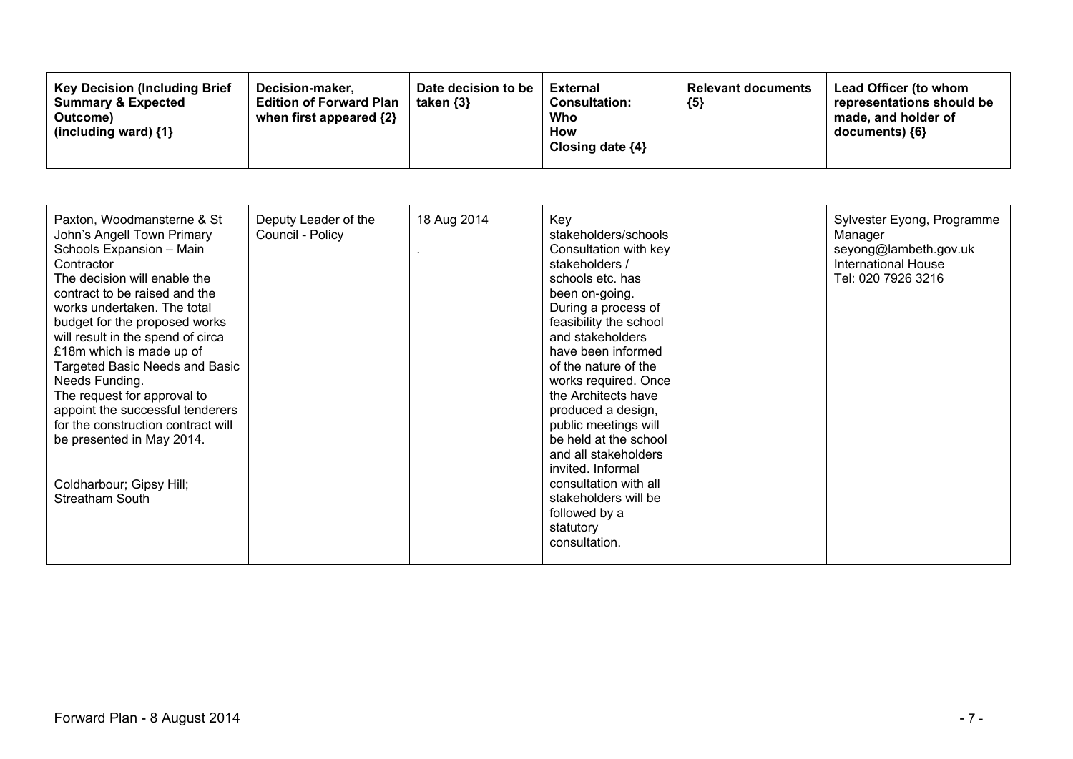| <b>Key Decision (Including Brief)</b><br>Decision-maker.<br><b>Summary &amp; Expected</b><br>Outcome)<br>(including ward) $\{1\}$ | Date decision to be<br><b>Edition of Forward Plan</b><br>taken $\{3\}$<br>when first appeared {2} | External<br><b>Consultation:</b><br>Who<br>How<br>Closing date ${4}$ | <b>Relevant documents</b><br>${5}$ | Lead Officer (to whom<br>representations should be<br>made, and holder of<br>documents) ${6}$ |
|-----------------------------------------------------------------------------------------------------------------------------------|---------------------------------------------------------------------------------------------------|----------------------------------------------------------------------|------------------------------------|-----------------------------------------------------------------------------------------------|
|-----------------------------------------------------------------------------------------------------------------------------------|---------------------------------------------------------------------------------------------------|----------------------------------------------------------------------|------------------------------------|-----------------------------------------------------------------------------------------------|

| Paxton, Woodmansterne & St<br>John's Angell Town Primary<br>Schools Expansion - Main<br>Contractor<br>The decision will enable the<br>contract to be raised and the<br>works undertaken. The total<br>budget for the proposed works<br>will result in the spend of circa<br>£18m which is made up of<br><b>Targeted Basic Needs and Basic</b><br>Needs Funding.<br>The request for approval to<br>appoint the successful tenderers<br>for the construction contract will<br>be presented in May 2014.<br>Coldharbour; Gipsy Hill;<br>Streatham South | Deputy Leader of the<br>Council - Policy | 18 Aug 2014 | Key<br>stakeholders/schools<br>Consultation with key<br>stakeholders /<br>schools etc. has<br>been on-going.<br>During a process of<br>feasibility the school<br>and stakeholders<br>have been informed<br>of the nature of the<br>works required. Once<br>the Architects have<br>produced a design,<br>public meetings will<br>be held at the school<br>and all stakeholders<br>invited. Informal<br>consultation with all<br>stakeholders will be<br>followed by a<br>statutory<br>consultation. |  | Sylvester Eyong, Programme<br>Manager<br>seyong@lambeth.gov.uk<br>International House<br>Tel: 020 7926 3216 |
|------------------------------------------------------------------------------------------------------------------------------------------------------------------------------------------------------------------------------------------------------------------------------------------------------------------------------------------------------------------------------------------------------------------------------------------------------------------------------------------------------------------------------------------------------|------------------------------------------|-------------|----------------------------------------------------------------------------------------------------------------------------------------------------------------------------------------------------------------------------------------------------------------------------------------------------------------------------------------------------------------------------------------------------------------------------------------------------------------------------------------------------|--|-------------------------------------------------------------------------------------------------------------|
|------------------------------------------------------------------------------------------------------------------------------------------------------------------------------------------------------------------------------------------------------------------------------------------------------------------------------------------------------------------------------------------------------------------------------------------------------------------------------------------------------------------------------------------------------|------------------------------------------|-------------|----------------------------------------------------------------------------------------------------------------------------------------------------------------------------------------------------------------------------------------------------------------------------------------------------------------------------------------------------------------------------------------------------------------------------------------------------------------------------------------------------|--|-------------------------------------------------------------------------------------------------------------|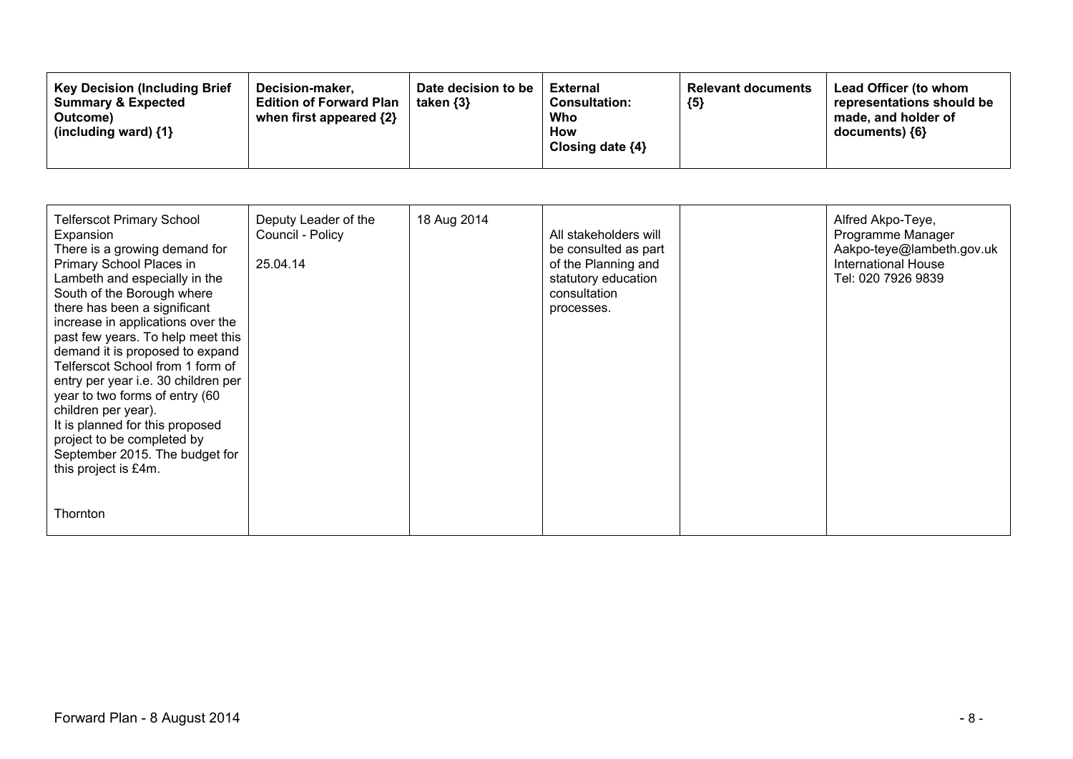| <b>Key Decision (Including Brief</b><br>Decision-maker.<br><b>Edition of Forward Plan</b><br><b>Summary &amp; Expected</b><br>when first appeared $\{2\}$<br>Outcome)<br>(including ward) $\{1\}$ | Date decision to be<br>taken $\{3\}$ | <b>External</b><br><b>Consultation:</b><br>Who<br>How<br>Closing date $\{4\}$ | <b>Relevant documents</b><br>${5}$ | Lead Officer (to whom<br>representations should be<br>made, and holder of<br>$documents)$ {6} |
|---------------------------------------------------------------------------------------------------------------------------------------------------------------------------------------------------|--------------------------------------|-------------------------------------------------------------------------------|------------------------------------|-----------------------------------------------------------------------------------------------|
|---------------------------------------------------------------------------------------------------------------------------------------------------------------------------------------------------|--------------------------------------|-------------------------------------------------------------------------------|------------------------------------|-----------------------------------------------------------------------------------------------|

| <b>Telferscot Primary School</b><br>Expansion<br>There is a growing demand for<br>Primary School Places in<br>Lambeth and especially in the<br>South of the Borough where<br>there has been a significant<br>increase in applications over the<br>past few years. To help meet this<br>demand it is proposed to expand<br>Telferscot School from 1 form of<br>entry per year i.e. 30 children per<br>year to two forms of entry (60<br>children per year).<br>It is planned for this proposed<br>project to be completed by<br>September 2015. The budget for<br>this project is £4m. | Deputy Leader of the<br>Council - Policy<br>25.04.14 | 18 Aug 2014 | All stakeholders will<br>be consulted as part<br>of the Planning and<br>statutory education<br>consultation<br>processes. | Alfred Akpo-Teye,<br>Programme Manager<br>Aakpo-teye@lambeth.gov.uk<br><b>International House</b><br>Tel: 020 7926 9839 |
|---------------------------------------------------------------------------------------------------------------------------------------------------------------------------------------------------------------------------------------------------------------------------------------------------------------------------------------------------------------------------------------------------------------------------------------------------------------------------------------------------------------------------------------------------------------------------------------|------------------------------------------------------|-------------|---------------------------------------------------------------------------------------------------------------------------|-------------------------------------------------------------------------------------------------------------------------|
| <b>Thornton</b>                                                                                                                                                                                                                                                                                                                                                                                                                                                                                                                                                                       |                                                      |             |                                                                                                                           |                                                                                                                         |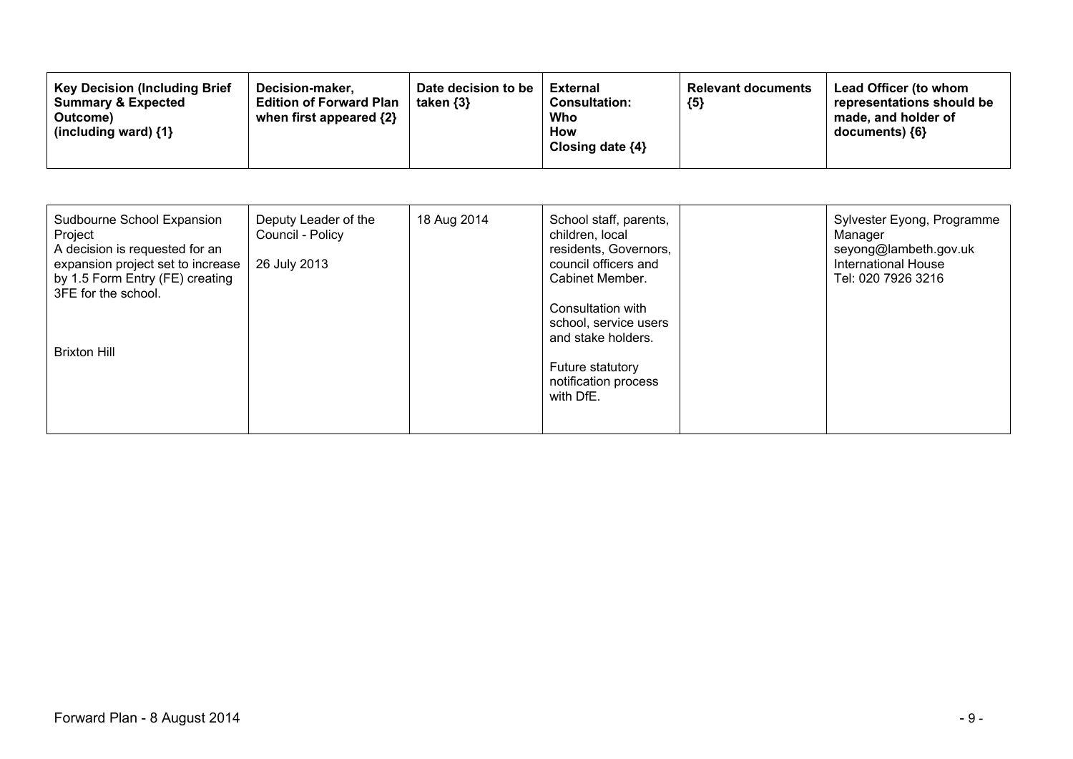| Sudbourne School Expansion<br>Project<br>A decision is requested for an<br>expansion project set to increase<br>by 1.5 Form Entry (FE) creating<br>3FE for the school. | Deputy Leader of the<br>Council - Policy<br>26 July 2013 | 18 Aug 2014 | School staff, parents,<br>children, local<br>residents, Governors,<br>council officers and<br>Cabinet Member.             | Sylvester Eyong, Programme<br>Manager<br>seyong@lambeth.gov.uk<br>International House<br>Tel: 020 7926 3216 |
|------------------------------------------------------------------------------------------------------------------------------------------------------------------------|----------------------------------------------------------|-------------|---------------------------------------------------------------------------------------------------------------------------|-------------------------------------------------------------------------------------------------------------|
| <b>Brixton Hill</b>                                                                                                                                                    |                                                          |             | Consultation with<br>school, service users<br>and stake holders.<br>Future statutory<br>notification process<br>with DfE. |                                                                                                             |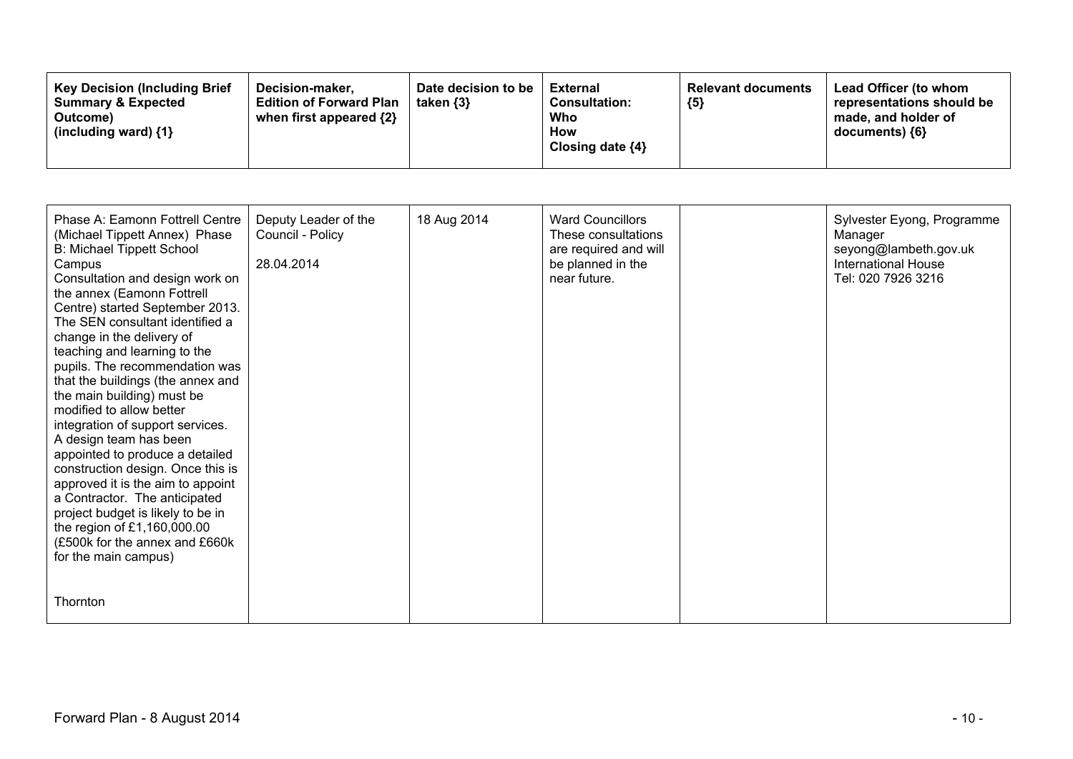| <b>Key Decision (Including Brief)</b><br>Decision-maker,<br><b>Summary &amp; Expected</b><br><b>Edition of Forward Plan</b><br>when first appeared $\{2\}$<br>Outcome)<br>(including ward) {1} | Date decision to be<br>taken $\{3\}$ | External<br><b>Consultation:</b><br>Who<br>How<br>Closing date ${4}$ | <b>Relevant documents</b><br>${5}$ | <b>Lead Officer (to whom</b><br>representations should be<br>made, and holder of<br>documents) ${6}$ |
|------------------------------------------------------------------------------------------------------------------------------------------------------------------------------------------------|--------------------------------------|----------------------------------------------------------------------|------------------------------------|------------------------------------------------------------------------------------------------------|
|------------------------------------------------------------------------------------------------------------------------------------------------------------------------------------------------|--------------------------------------|----------------------------------------------------------------------|------------------------------------|------------------------------------------------------------------------------------------------------|

| Phase A: Eamonn Fottrell Centre<br>(Michael Tippett Annex) Phase<br>B: Michael Tippett School<br>Campus<br>Consultation and design work on<br>the annex (Eamonn Fottrell<br>Centre) started September 2013.<br>The SEN consultant identified a<br>change in the delivery of<br>teaching and learning to the<br>pupils. The recommendation was<br>that the buildings (the annex and<br>the main building) must be<br>modified to allow better<br>integration of support services.<br>A design team has been<br>appointed to produce a detailed<br>construction design. Once this is<br>approved it is the aim to appoint<br>a Contractor. The anticipated<br>project budget is likely to be in<br>the region of £1,160,000.00<br>(£500k for the annex and £660k)<br>for the main campus) | Deputy Leader of the<br>Council - Policy<br>28.04.2014 | 18 Aug 2014 | <b>Ward Councillors</b><br>These consultations<br>are required and will<br>be planned in the<br>near future. | Sylvester Eyong, Programme<br>Manager<br>seyong@lambeth.gov.uk<br><b>International House</b><br>Tel: 020 7926 3216 |
|-----------------------------------------------------------------------------------------------------------------------------------------------------------------------------------------------------------------------------------------------------------------------------------------------------------------------------------------------------------------------------------------------------------------------------------------------------------------------------------------------------------------------------------------------------------------------------------------------------------------------------------------------------------------------------------------------------------------------------------------------------------------------------------------|--------------------------------------------------------|-------------|--------------------------------------------------------------------------------------------------------------|--------------------------------------------------------------------------------------------------------------------|
| Thornton                                                                                                                                                                                                                                                                                                                                                                                                                                                                                                                                                                                                                                                                                                                                                                                |                                                        |             |                                                                                                              |                                                                                                                    |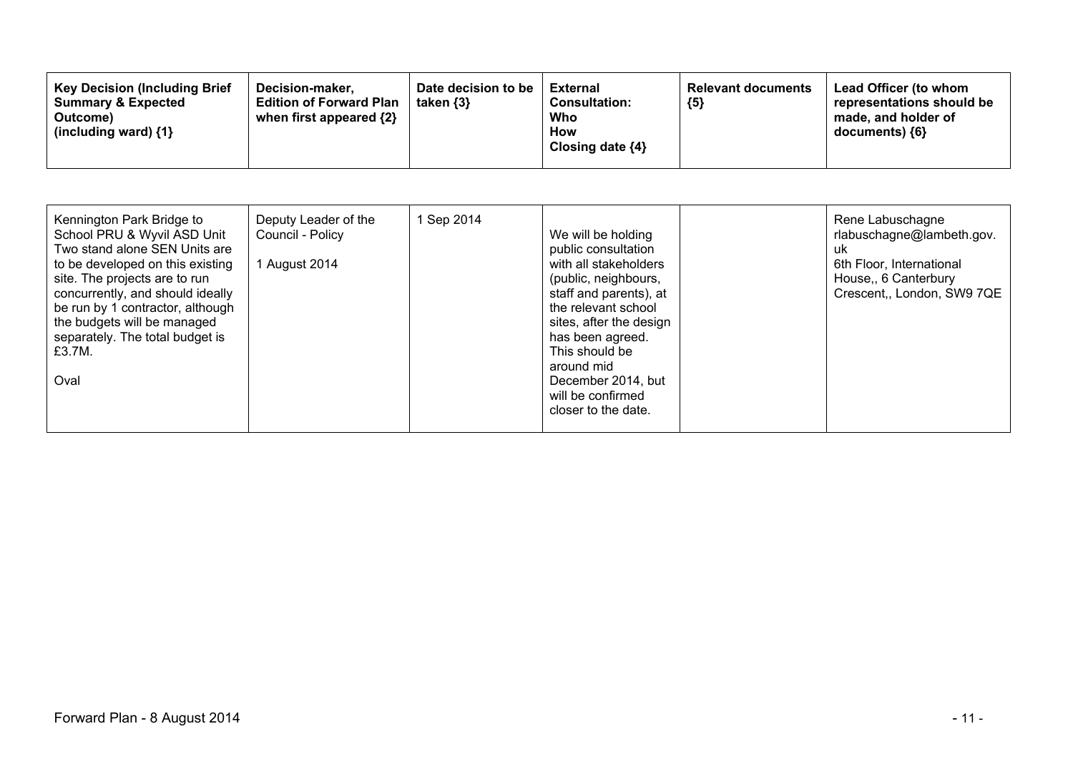| Kennington Park Bridge to<br>School PRU & Wyvil ASD Unit<br>Two stand alone SEN Units are<br>to be developed on this existing<br>site. The projects are to run<br>concurrently, and should ideally<br>be run by 1 contractor, although<br>the budgets will be managed<br>separately. The total budget is<br>£3.7M.<br>Oval | Deputy Leader of the<br>Council - Policy<br>1 August 2014 | 1 Sep 2014 | We will be holding<br>public consultation<br>with all stakeholders<br>(public, neighbours,<br>staff and parents), at<br>the relevant school<br>sites, after the design<br>has been agreed.<br>This should be<br>around mid<br>December 2014, but<br>will be confirmed<br>closer to the date. |  | Rene Labuschagne<br>rlabuschagne@lambeth.gov.<br>uk<br>6th Floor, International<br>House, 6 Canterbury<br>Crescent,, London, SW9 7QE |
|----------------------------------------------------------------------------------------------------------------------------------------------------------------------------------------------------------------------------------------------------------------------------------------------------------------------------|-----------------------------------------------------------|------------|----------------------------------------------------------------------------------------------------------------------------------------------------------------------------------------------------------------------------------------------------------------------------------------------|--|--------------------------------------------------------------------------------------------------------------------------------------|
|----------------------------------------------------------------------------------------------------------------------------------------------------------------------------------------------------------------------------------------------------------------------------------------------------------------------------|-----------------------------------------------------------|------------|----------------------------------------------------------------------------------------------------------------------------------------------------------------------------------------------------------------------------------------------------------------------------------------------|--|--------------------------------------------------------------------------------------------------------------------------------------|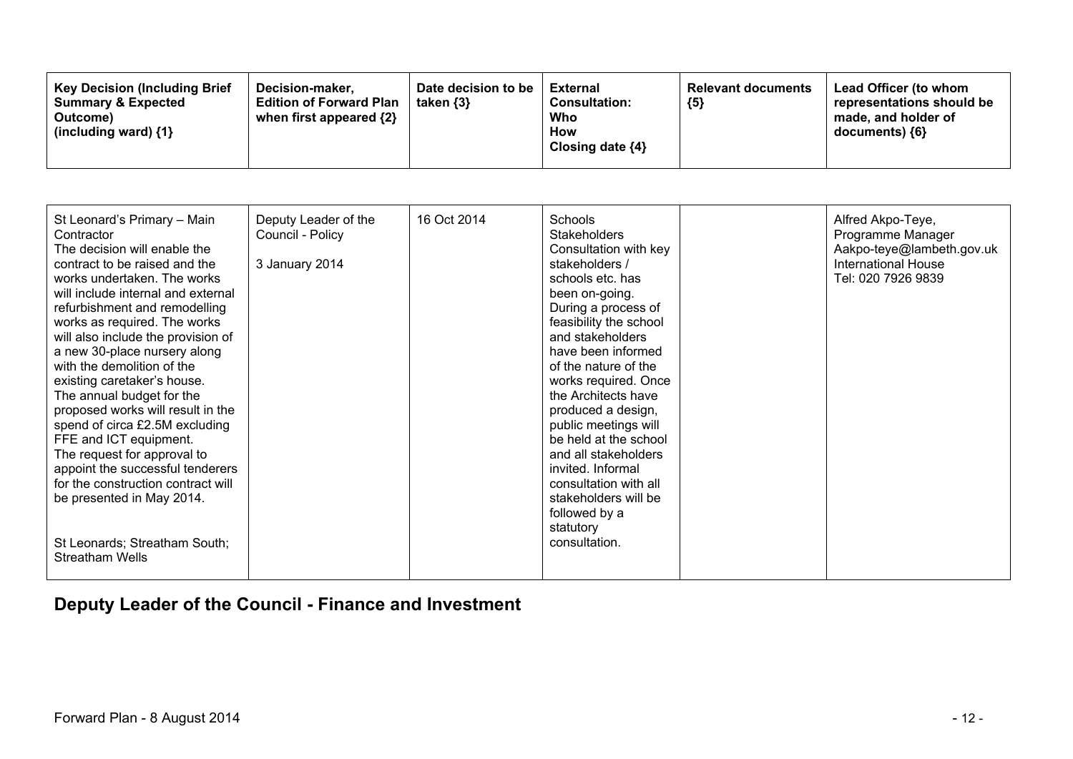| Date decision to be<br><b>Key Decision (Including Brief</b><br>Decision-maker,<br><b>Summary &amp; Expected</b><br><b>Edition of Forward Plan</b><br>taken $\{3\}$<br>when first appeared $\{2\}$<br>Outcome)<br>(including ward) $\{1\}$ | External<br>${5}$<br><b>Consultation:</b><br>Who<br>How<br>Closing date ${4}$ | Lead Officer (to whom<br><b>Relevant documents</b><br>representations should be<br>made, and holder of<br>documents) ${6}$ |
|-------------------------------------------------------------------------------------------------------------------------------------------------------------------------------------------------------------------------------------------|-------------------------------------------------------------------------------|----------------------------------------------------------------------------------------------------------------------------|
|-------------------------------------------------------------------------------------------------------------------------------------------------------------------------------------------------------------------------------------------|-------------------------------------------------------------------------------|----------------------------------------------------------------------------------------------------------------------------|

| St Leonard's Primary - Main        | Deputy Leader of the | 16 Oct 2014 | Schools                | Alfred Akpo-Teye,          |
|------------------------------------|----------------------|-------------|------------------------|----------------------------|
| Contractor                         | Council - Policy     |             | <b>Stakeholders</b>    | Programme Manager          |
| The decision will enable the       |                      |             | Consultation with key  | Aakpo-teye@lambeth.gov.uk  |
| contract to be raised and the      | 3 January 2014       |             | stakeholders /         | <b>International House</b> |
| works undertaken. The works        |                      |             | schools etc. has       | Tel: 020 7926 9839         |
| will include internal and external |                      |             | been on-going.         |                            |
| refurbishment and remodelling      |                      |             | During a process of    |                            |
| works as required. The works       |                      |             | feasibility the school |                            |
| will also include the provision of |                      |             | and stakeholders       |                            |
| a new 30-place nursery along       |                      |             | have been informed     |                            |
| with the demolition of the         |                      |             | of the nature of the   |                            |
| existing caretaker's house.        |                      |             | works required. Once   |                            |
| The annual budget for the          |                      |             | the Architects have    |                            |
| proposed works will result in the  |                      |             | produced a design,     |                            |
| spend of circa £2.5M excluding     |                      |             | public meetings will   |                            |
| FFE and ICT equipment.             |                      |             | be held at the school  |                            |
| The request for approval to        |                      |             | and all stakeholders   |                            |
| appoint the successful tenderers   |                      |             | invited. Informal      |                            |
| for the construction contract will |                      |             | consultation with all  |                            |
| be presented in May 2014.          |                      |             | stakeholders will be   |                            |
|                                    |                      |             | followed by a          |                            |
|                                    |                      |             | statutory              |                            |
| St Leonards; Streatham South;      |                      |             | consultation.          |                            |
| <b>Streatham Wells</b>             |                      |             |                        |                            |
|                                    |                      |             |                        |                            |

# **Deputy Leader of the Council - Finance and Investment**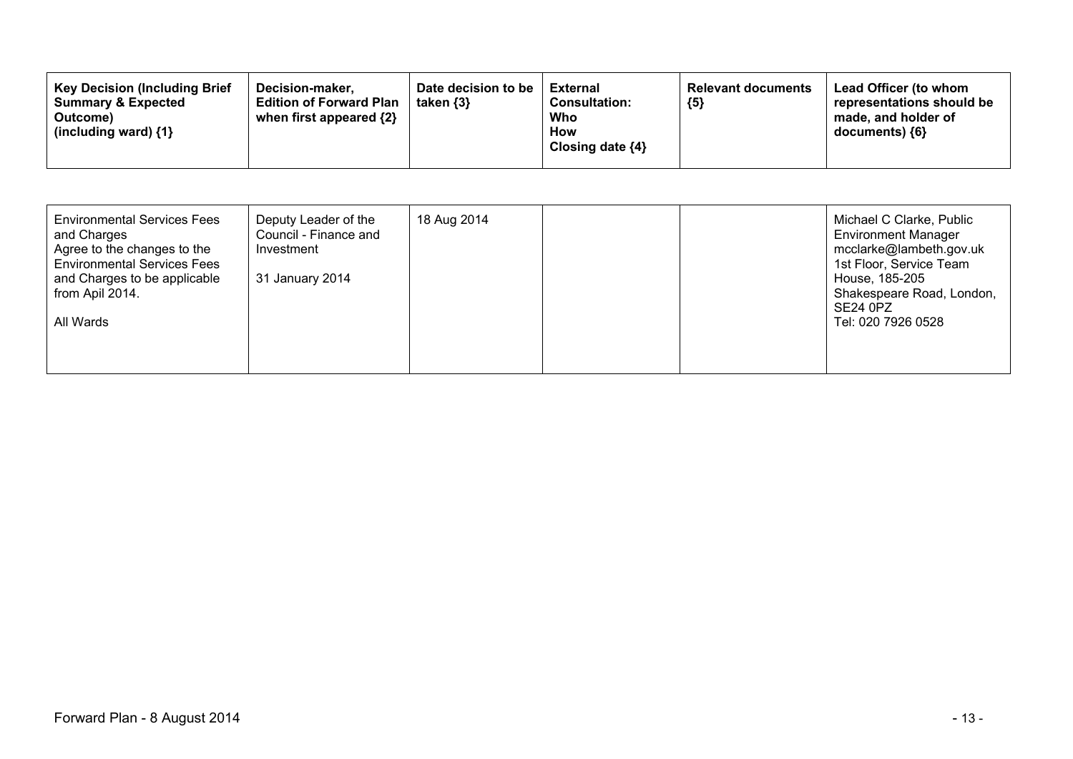| <b>Key Decision (Including Brief)</b><br>Decision-maker,<br><b>Summary &amp; Expected</b><br><b>Edition of Forward Plan</b><br>when first appeared {2}<br>Outcome)<br>(including ward) $\{1\}$ | Date decision to be<br>taken $\{3\}$ | <b>External</b><br><b>Consultation:</b><br>Who<br>How<br>Closing date $\{4\}$ | <b>Relevant documents</b><br>${5}$ | Lead Officer (to whom<br>representations should be<br>made, and holder of<br>$documents)$ {6} |
|------------------------------------------------------------------------------------------------------------------------------------------------------------------------------------------------|--------------------------------------|-------------------------------------------------------------------------------|------------------------------------|-----------------------------------------------------------------------------------------------|
|------------------------------------------------------------------------------------------------------------------------------------------------------------------------------------------------|--------------------------------------|-------------------------------------------------------------------------------|------------------------------------|-----------------------------------------------------------------------------------------------|

| <b>Environmental Services Fees</b><br>Deputy Leader of the<br>18 Aug 2014<br>Council - Finance and<br>and Charges<br>Agree to the changes to the<br>Investment<br><b>Environmental Services Fees</b><br>and Charges to be applicable<br>31 January 2014<br>from Apil 2014.<br>All Wards | Michael C Clarke, Public<br><b>Environment Manager</b><br>mcclarke@lambeth.gov.uk<br>1st Floor, Service Team<br>House, 185-205<br>Shakespeare Road, London,<br><b>SE24 0PZ</b><br>Tel: 020 7926 0528 |
|-----------------------------------------------------------------------------------------------------------------------------------------------------------------------------------------------------------------------------------------------------------------------------------------|------------------------------------------------------------------------------------------------------------------------------------------------------------------------------------------------------|
|-----------------------------------------------------------------------------------------------------------------------------------------------------------------------------------------------------------------------------------------------------------------------------------------|------------------------------------------------------------------------------------------------------------------------------------------------------------------------------------------------------|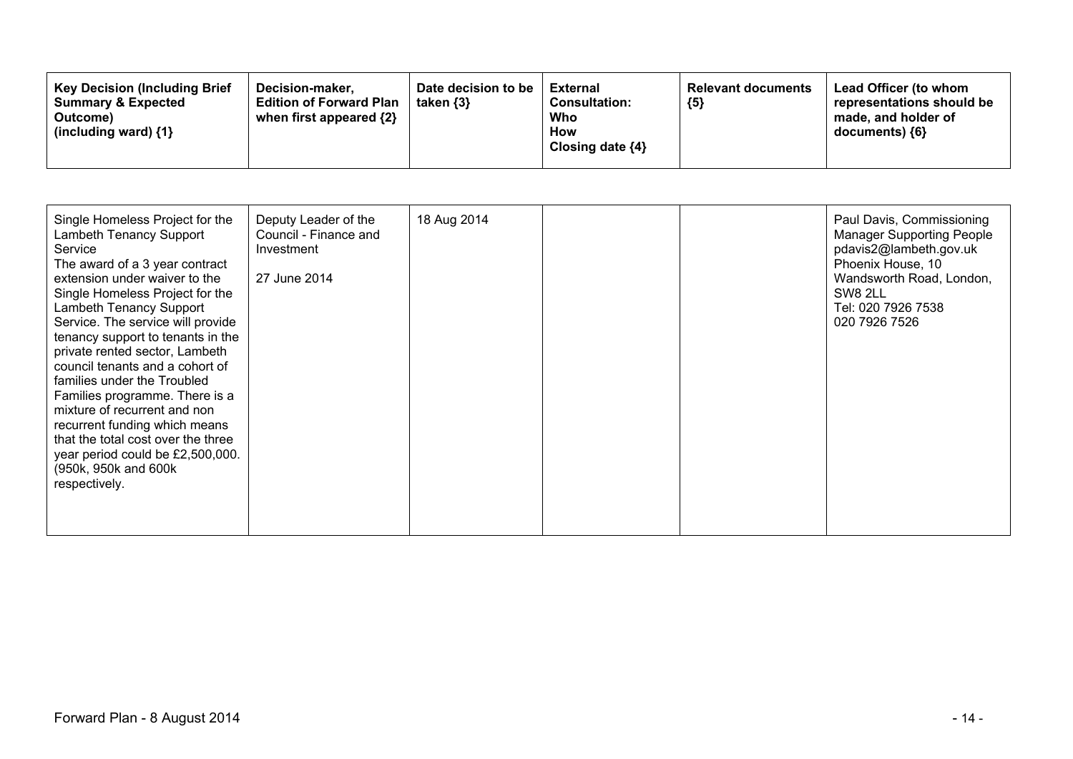| <b>Key Decision (Including Brief)</b><br>Decision-maker.<br><b>Summary &amp; Expected</b><br><b>Edition of Forward Plan</b><br>when first appeared {2}<br>Outcome)<br>(including ward) $\{1\}$ | Date decision to be<br>taken $\{3\}$ | External<br><b>Consultation:</b><br>Who<br>How<br>Closing date $\{4\}$ | <b>Relevant documents</b><br>${5}$ | Lead Officer (to whom<br>representations should be<br>made, and holder of<br>$documents)$ {6} |
|------------------------------------------------------------------------------------------------------------------------------------------------------------------------------------------------|--------------------------------------|------------------------------------------------------------------------|------------------------------------|-----------------------------------------------------------------------------------------------|
|------------------------------------------------------------------------------------------------------------------------------------------------------------------------------------------------|--------------------------------------|------------------------------------------------------------------------|------------------------------------|-----------------------------------------------------------------------------------------------|

| Single Homeless Project for the<br>Lambeth Tenancy Support<br>Service<br>The award of a 3 year contract<br>extension under waiver to the<br>Single Homeless Project for the<br>Lambeth Tenancy Support<br>Service. The service will provide<br>tenancy support to tenants in the<br>private rented sector, Lambeth<br>council tenants and a cohort of<br>families under the Troubled<br>Families programme. There is a<br>mixture of recurrent and non<br>recurrent funding which means<br>that the total cost over the three<br>year period could be £2,500,000.<br>(950k, 950k and 600k<br>respectively. | Deputy Leader of the<br>Council - Finance and<br>Investment<br>27 June 2014 | 18 Aug 2014 |  |  | Paul Davis, Commissioning<br><b>Manager Supporting People</b><br>pdavis2@lambeth.gov.uk<br>Phoenix House, 10<br>Wandsworth Road, London,<br>SW8 2LL<br>Tel: 020 7926 7538<br>020 7926 7526 |
|------------------------------------------------------------------------------------------------------------------------------------------------------------------------------------------------------------------------------------------------------------------------------------------------------------------------------------------------------------------------------------------------------------------------------------------------------------------------------------------------------------------------------------------------------------------------------------------------------------|-----------------------------------------------------------------------------|-------------|--|--|--------------------------------------------------------------------------------------------------------------------------------------------------------------------------------------------|
|------------------------------------------------------------------------------------------------------------------------------------------------------------------------------------------------------------------------------------------------------------------------------------------------------------------------------------------------------------------------------------------------------------------------------------------------------------------------------------------------------------------------------------------------------------------------------------------------------------|-----------------------------------------------------------------------------|-------------|--|--|--------------------------------------------------------------------------------------------------------------------------------------------------------------------------------------------|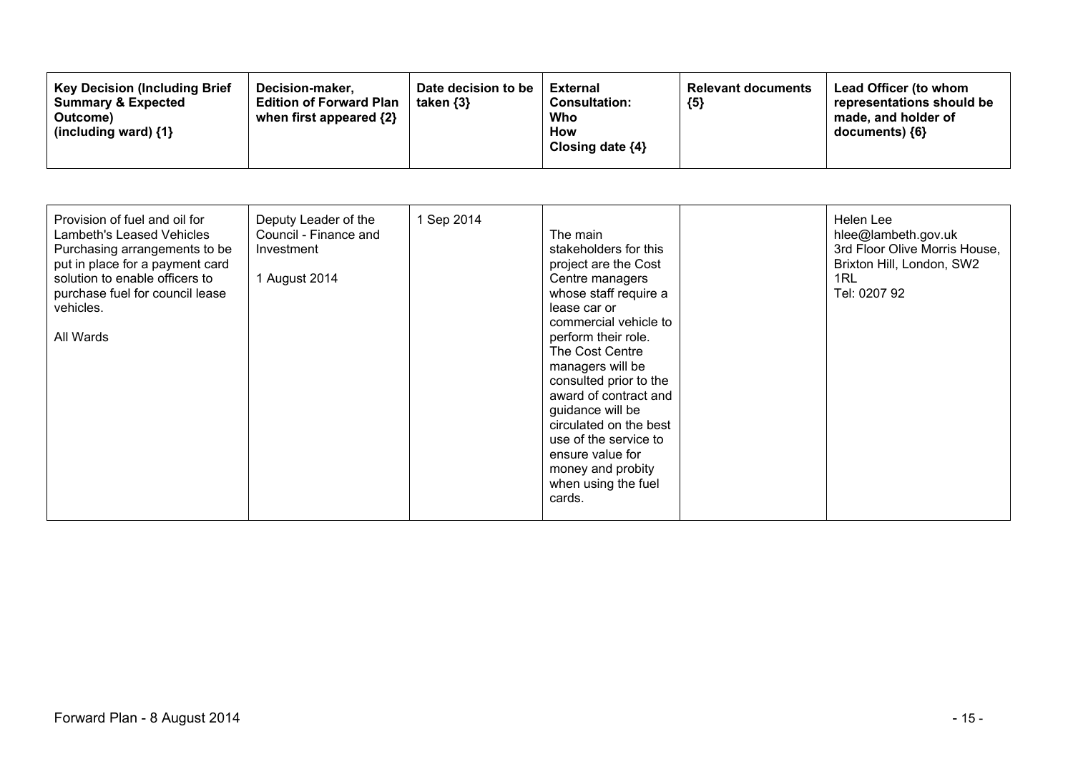| Provision of fuel and oil for<br>Lambeth's Leased Vehicles<br>Purchasing arrangements to be<br>put in place for a payment card<br>solution to enable officers to<br>purchase fuel for council lease<br>vehicles.<br>All Wards | Deputy Leader of the<br>Council - Finance and<br>Investment<br>1 August 2014 | 1 Sep 2014 | The main<br>stakeholders for this<br>project are the Cost<br>Centre managers<br>whose staff require a<br>lease car or<br>commercial vehicle to<br>perform their role.<br>The Cost Centre<br>managers will be<br>consulted prior to the<br>award of contract and<br>guidance will be<br>circulated on the best<br>use of the service to<br>ensure value for<br>money and probity<br>when using the fuel<br>cards. |  | Helen Lee<br>hlee@lambeth.gov.uk<br>3rd Floor Olive Morris House,<br>Brixton Hill, London, SW2<br>1RL<br>Tel: 0207 92 |
|-------------------------------------------------------------------------------------------------------------------------------------------------------------------------------------------------------------------------------|------------------------------------------------------------------------------|------------|------------------------------------------------------------------------------------------------------------------------------------------------------------------------------------------------------------------------------------------------------------------------------------------------------------------------------------------------------------------------------------------------------------------|--|-----------------------------------------------------------------------------------------------------------------------|
|-------------------------------------------------------------------------------------------------------------------------------------------------------------------------------------------------------------------------------|------------------------------------------------------------------------------|------------|------------------------------------------------------------------------------------------------------------------------------------------------------------------------------------------------------------------------------------------------------------------------------------------------------------------------------------------------------------------------------------------------------------------|--|-----------------------------------------------------------------------------------------------------------------------|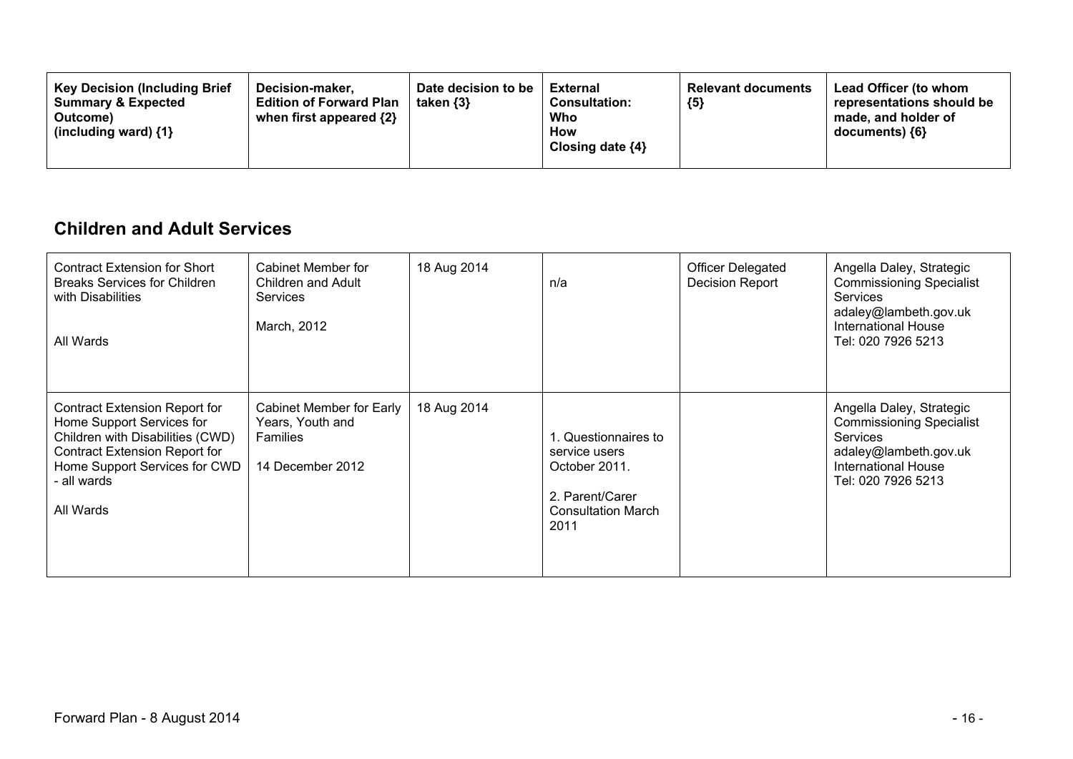| <b>Key Decision (Including Brief</b><br>Decision-maker.<br><b>Summary &amp; Expected</b><br><b>Edition of Forward Plan</b><br>when first appeared $\{2\}$<br>Outcome)<br>(including ward) $\{1\}$ | Date decision to be<br>taken $\{3\}$ | <b>External</b><br><b>Consultation:</b><br>Who<br>How<br>Closing date $\{4\}$ | <b>Relevant documents</b><br>${5}$ | Lead Officer (to whom<br>representations should be<br>made, and holder of<br>documents) {6} |
|---------------------------------------------------------------------------------------------------------------------------------------------------------------------------------------------------|--------------------------------------|-------------------------------------------------------------------------------|------------------------------------|---------------------------------------------------------------------------------------------|
|---------------------------------------------------------------------------------------------------------------------------------------------------------------------------------------------------|--------------------------------------|-------------------------------------------------------------------------------|------------------------------------|---------------------------------------------------------------------------------------------|

### **Children and Adult Services**

| <b>Contract Extension for Short</b><br><b>Breaks Services for Children</b><br>with Disabilities<br>All Wards                                                                                             | Cabinet Member for<br>Children and Adult<br><b>Services</b><br>March, 2012   | 18 Aug 2014 | n/a                                                                                                           | <b>Officer Delegated</b><br>Decision Report | Angella Daley, Strategic<br><b>Commissioning Specialist</b><br><b>Services</b><br>adaley@lambeth.gov.uk<br><b>International House</b><br>Tel: 020 7926 5213 |
|----------------------------------------------------------------------------------------------------------------------------------------------------------------------------------------------------------|------------------------------------------------------------------------------|-------------|---------------------------------------------------------------------------------------------------------------|---------------------------------------------|-------------------------------------------------------------------------------------------------------------------------------------------------------------|
| <b>Contract Extension Report for</b><br>Home Support Services for<br>Children with Disabilities (CWD)<br><b>Contract Extension Report for</b><br>Home Support Services for CWD<br>all wards<br>All Wards | Cabinet Member for Early<br>Years, Youth and<br>Families<br>14 December 2012 | 18 Aug 2014 | . Questionnaires to<br>service users<br>October 2011.<br>2. Parent/Carer<br><b>Consultation March</b><br>2011 |                                             | Angella Daley, Strategic<br><b>Commissioning Specialist</b><br><b>Services</b><br>adaley@lambeth.gov.uk<br><b>International House</b><br>Tel: 020 7926 5213 |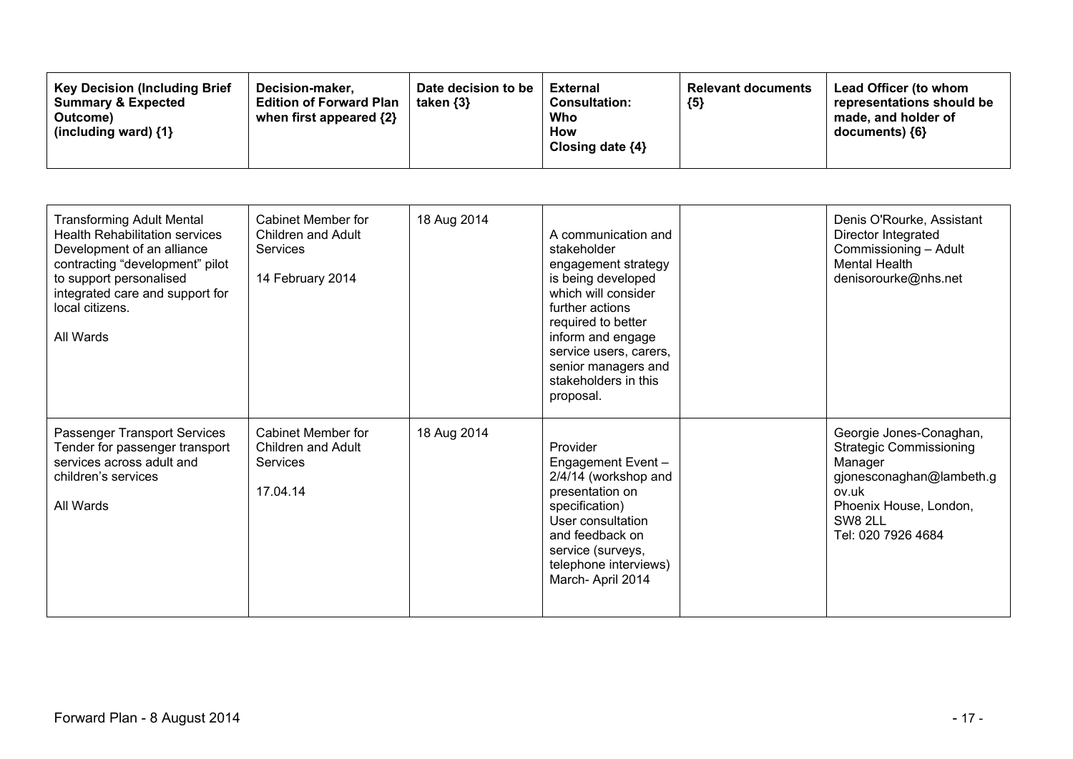| <b>Key Decision (Including Brief)</b><br>Decision-maker,<br><b>Summary &amp; Expected</b><br><b>Edition of Forward Plan</b><br>when first appeared {2}<br>Outcome)<br>(including ward) $\{1\}$ | Date decision to be<br>taken $\{3\}$ | External<br><b>Consultation:</b><br>Who<br>How<br>Closing date $\{4\}$ | <b>Relevant documents</b><br>${5}$ | Lead Officer (to whom<br>representations should be<br>made, and holder of<br>$documents)$ {6} |
|------------------------------------------------------------------------------------------------------------------------------------------------------------------------------------------------|--------------------------------------|------------------------------------------------------------------------|------------------------------------|-----------------------------------------------------------------------------------------------|
|------------------------------------------------------------------------------------------------------------------------------------------------------------------------------------------------|--------------------------------------|------------------------------------------------------------------------|------------------------------------|-----------------------------------------------------------------------------------------------|

| <b>Transforming Adult Mental</b><br><b>Health Rehabilitation services</b><br>Development of an alliance<br>contracting "development" pilot<br>to support personalised<br>integrated care and support for<br>local citizens.<br>All Wards | Cabinet Member for<br>Children and Adult<br><b>Services</b><br>14 February 2014 | 18 Aug 2014 | A communication and<br>stakeholder<br>engagement strategy<br>is being developed<br>which will consider<br>further actions<br>required to better<br>inform and engage<br>service users, carers,<br>senior managers and<br>stakeholders in this<br>proposal. | Denis O'Rourke, Assistant<br>Director Integrated<br>Commissioning - Adult<br><b>Mental Health</b><br>denisorourke@nhs.net                                            |
|------------------------------------------------------------------------------------------------------------------------------------------------------------------------------------------------------------------------------------------|---------------------------------------------------------------------------------|-------------|------------------------------------------------------------------------------------------------------------------------------------------------------------------------------------------------------------------------------------------------------------|----------------------------------------------------------------------------------------------------------------------------------------------------------------------|
| Passenger Transport Services<br>Tender for passenger transport<br>services across adult and<br>children's services<br>All Wards                                                                                                          | Cabinet Member for<br>Children and Adult<br>Services<br>17.04.14                | 18 Aug 2014 | Provider<br>Engagement Event -<br>2/4/14 (workshop and<br>presentation on<br>specification)<br>User consultation<br>and feedback on<br>service (surveys,<br>telephone interviews)<br>March-April 2014                                                      | Georgie Jones-Conaghan,<br><b>Strategic Commissioning</b><br>Manager<br>gjonesconaghan@lambeth.g<br>ov.uk<br>Phoenix House, London,<br>SW8 2LL<br>Tel: 020 7926 4684 |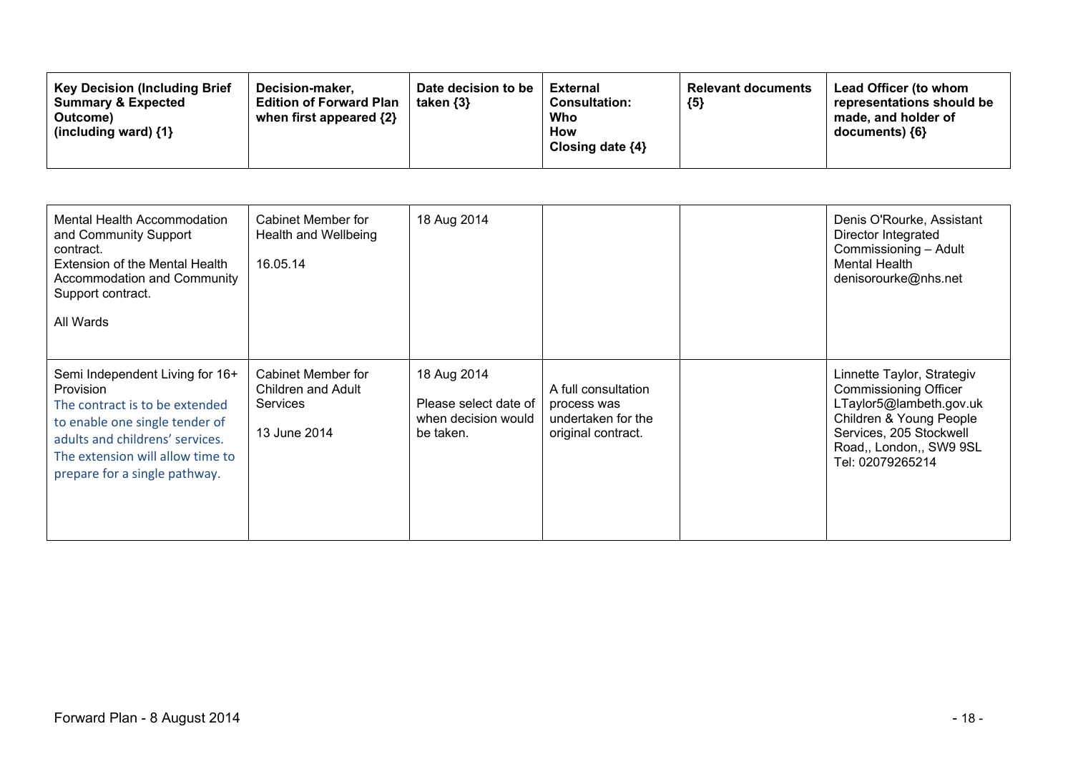| Mental Health Accommodation<br>and Community Support<br>contract.<br><b>Extension of the Mental Health</b><br>Accommodation and Community<br>Support contract.<br>All Wards                                              | Cabinet Member for<br>Health and Wellbeing<br>16.05.14               | 18 Aug 2014                                                              |                                                                                | Denis O'Rourke, Assistant<br>Director Integrated<br>Commissioning - Adult<br>Mental Health<br>denisorourke@nhs.net                                                                         |
|--------------------------------------------------------------------------------------------------------------------------------------------------------------------------------------------------------------------------|----------------------------------------------------------------------|--------------------------------------------------------------------------|--------------------------------------------------------------------------------|--------------------------------------------------------------------------------------------------------------------------------------------------------------------------------------------|
| Semi Independent Living for 16+<br>Provision<br>The contract is to be extended<br>to enable one single tender of<br>adults and childrens' services.<br>The extension will allow time to<br>prepare for a single pathway. | Cabinet Member for<br>Children and Adult<br>Services<br>13 June 2014 | 18 Aug 2014<br>Please select date of<br>when decision would<br>be taken. | A full consultation<br>process was<br>undertaken for the<br>original contract. | Linnette Taylor, Strategiv<br><b>Commissioning Officer</b><br>LTaylor5@lambeth.gov.uk<br>Children & Young People<br>Services, 205 Stockwell<br>Road,, London,, SW9 9SL<br>Tel: 02079265214 |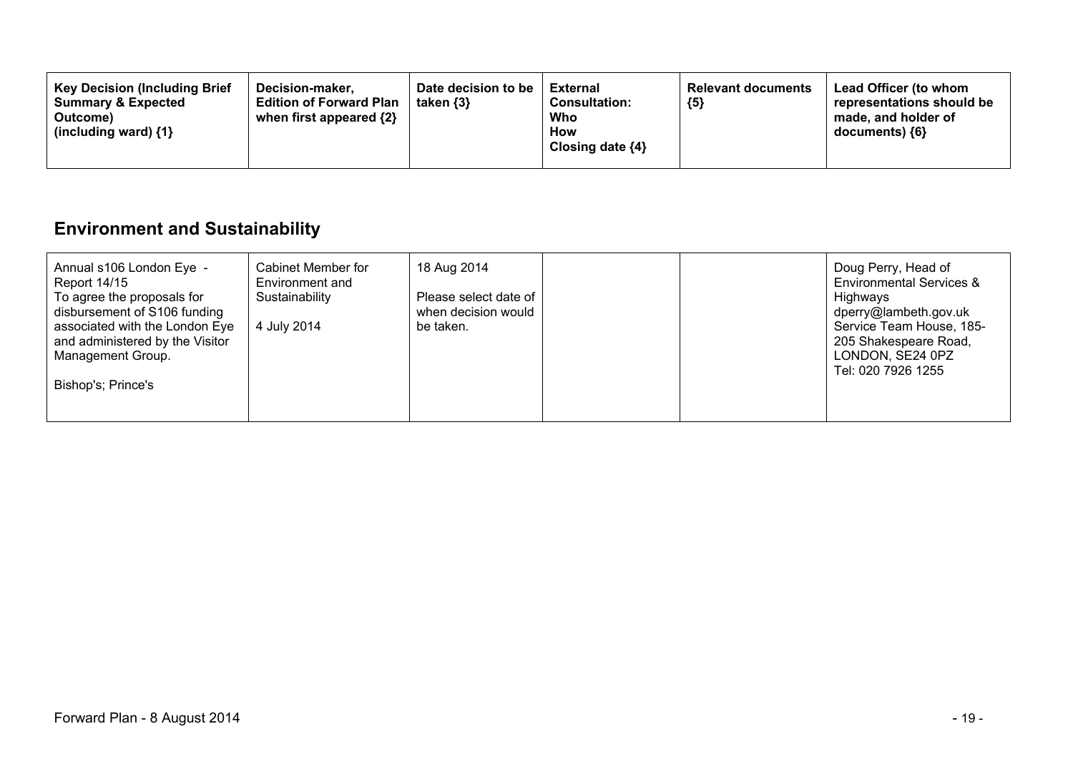| <b>Key Decision (Including Brief</b><br>Date decision to be<br>Decision-maker.<br><b>Summary &amp; Expected</b><br>taken $\{3\}$<br><b>Edition of Forward Plan</b><br>when first appeared $\{2\}$<br>Outcome)<br>(including ward) $\{1\}$ | External<br><b>Relevant documents</b><br>${5}$<br><b>Consultation:</b><br>Who<br>How<br>Closing date $\{4\}$ | <b>Lead Officer (to whom</b><br>representations should be<br>made, and holder of<br>documents) {6} |
|-------------------------------------------------------------------------------------------------------------------------------------------------------------------------------------------------------------------------------------------|--------------------------------------------------------------------------------------------------------------|----------------------------------------------------------------------------------------------------|
|-------------------------------------------------------------------------------------------------------------------------------------------------------------------------------------------------------------------------------------------|--------------------------------------------------------------------------------------------------------------|----------------------------------------------------------------------------------------------------|

# **Environment and Sustainability**

| Cabinet Member for<br>Annual s106 London Eye -<br>Environment and<br><b>Report 14/15</b><br>To agree the proposals for<br>Sustainability<br>disbursement of S106 funding<br>associated with the London Eye<br>4 July 2014<br>and administered by the Visitor<br>Management Group.<br>Bishop's; Prince's | 18 Aug 2014<br>Please select date of<br>when decision would<br>be taken. | Doug Perry, Head of<br><b>Environmental Services &amp;</b><br>Highways<br>dperry@lambeth.gov.uk<br>Service Team House, 185-<br>205 Shakespeare Road,<br>LONDON, SE24 0PZ<br>Tel: 020 7926 1255 |
|---------------------------------------------------------------------------------------------------------------------------------------------------------------------------------------------------------------------------------------------------------------------------------------------------------|--------------------------------------------------------------------------|------------------------------------------------------------------------------------------------------------------------------------------------------------------------------------------------|
|---------------------------------------------------------------------------------------------------------------------------------------------------------------------------------------------------------------------------------------------------------------------------------------------------------|--------------------------------------------------------------------------|------------------------------------------------------------------------------------------------------------------------------------------------------------------------------------------------|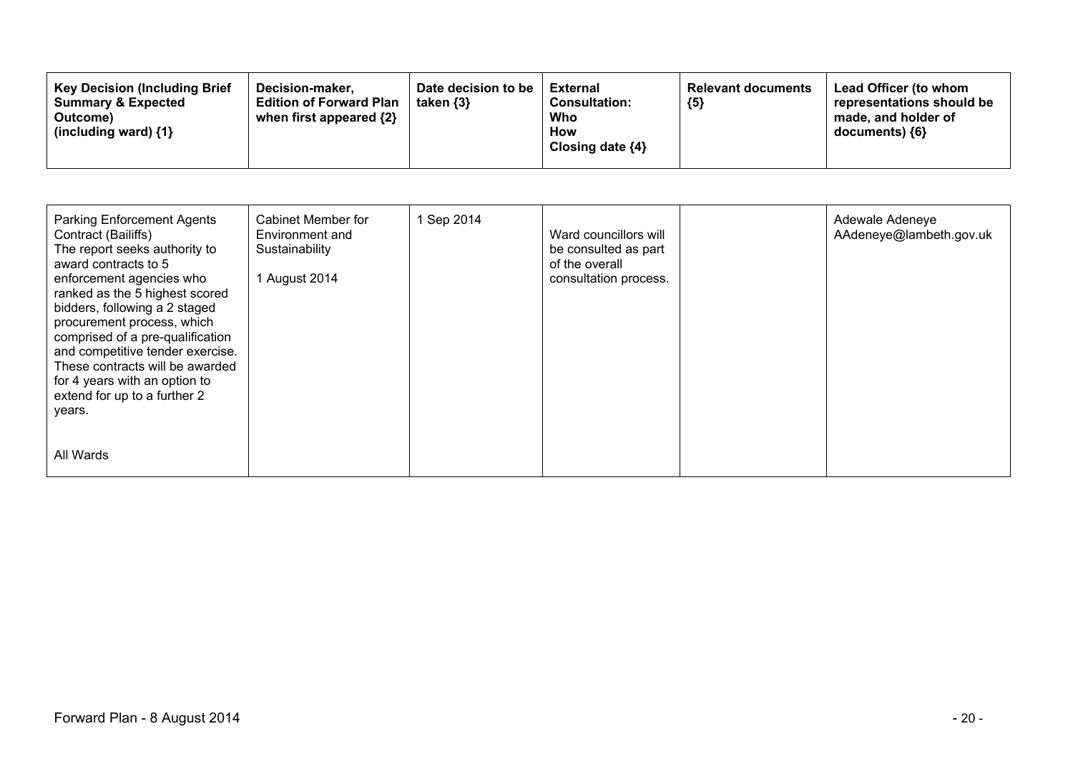| <b>Key Decision (Including Brief)</b><br>Date decision to be<br>Decision-maker.<br><b>Summary &amp; Expected</b><br><b>Edition of Forward Plan</b><br>taken $\{3\}$<br>when first appeared $\{2\}$<br>Outcome)<br>(including ward) $\{1\}$ | <b>External</b><br><b>Consultation:</b><br>Who<br><b>How</b><br>Closing date $\{4\}$ | <b>Relevant documents</b><br>${5}$ | Lead Officer (to whom<br>representations should be<br>made, and holder of<br>documents) ${6}$ |
|--------------------------------------------------------------------------------------------------------------------------------------------------------------------------------------------------------------------------------------------|--------------------------------------------------------------------------------------|------------------------------------|-----------------------------------------------------------------------------------------------|
|--------------------------------------------------------------------------------------------------------------------------------------------------------------------------------------------------------------------------------------------|--------------------------------------------------------------------------------------|------------------------------------|-----------------------------------------------------------------------------------------------|

| <b>Parking Enforcement Agents</b><br>Contract (Bailiffs)<br>The report seeks authority to<br>award contracts to 5<br>enforcement agencies who<br>ranked as the 5 highest scored<br>bidders, following a 2 staged<br>procurement process, which<br>comprised of a pre-qualification<br>and competitive tender exercise.<br>These contracts will be awarded<br>for 4 years with an option to<br>extend for up to a further 2<br>years. | Cabinet Member for<br>Environment and<br>Sustainability<br>1 August 2014 | 1 Sep 2014 | Ward councillors will<br>be consulted as part<br>of the overall<br>consultation process. | Adewale Adeneye<br>AAdeneye@lambeth.gov.uk |
|--------------------------------------------------------------------------------------------------------------------------------------------------------------------------------------------------------------------------------------------------------------------------------------------------------------------------------------------------------------------------------------------------------------------------------------|--------------------------------------------------------------------------|------------|------------------------------------------------------------------------------------------|--------------------------------------------|
| All Wards                                                                                                                                                                                                                                                                                                                                                                                                                            |                                                                          |            |                                                                                          |                                            |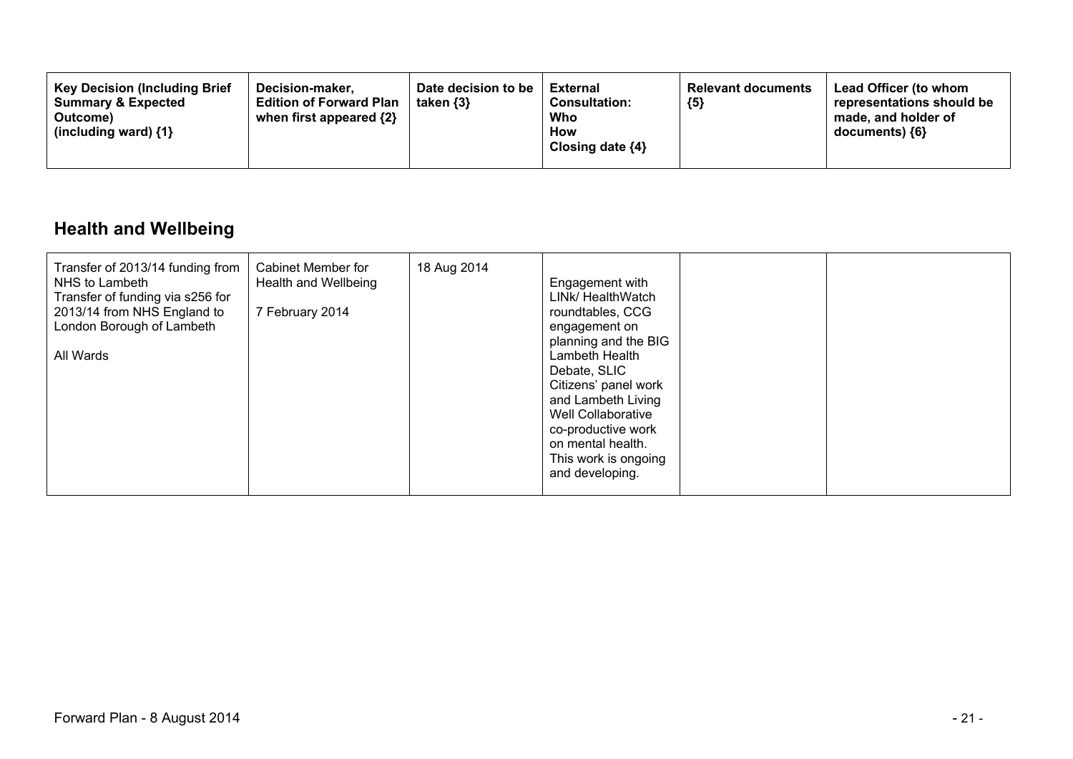| <b>Key Decision (Including Brief</b><br>Decision-maker.<br><b>Summary &amp; Expected</b><br><b>Edition of Forward Plan</b><br>when first appeared {2}<br>Outcome)<br>(including ward) $\{1\}$ | Date decision to be<br>taken $\{3\}$ | External<br><b>Consultation:</b><br>Who<br>How<br>Closing date $\{4\}$ | <b>Relevant documents</b><br>${5}$ | Lead Officer (to whom<br>representations should be<br>made, and holder of<br>$documents)$ {6} |
|-----------------------------------------------------------------------------------------------------------------------------------------------------------------------------------------------|--------------------------------------|------------------------------------------------------------------------|------------------------------------|-----------------------------------------------------------------------------------------------|
|-----------------------------------------------------------------------------------------------------------------------------------------------------------------------------------------------|--------------------------------------|------------------------------------------------------------------------|------------------------------------|-----------------------------------------------------------------------------------------------|

# **Health and Wellbeing**

| Transfer of 2013/14 funding from<br>NHS to Lambeth<br>Transfer of funding via s256 for<br>2013/14 from NHS England to<br>London Borough of Lambeth<br>All Wards | Cabinet Member for<br>Health and Wellbeing<br>7 February 2014 | 18 Aug 2014 | Engagement with<br>LINK/ HealthWatch<br>roundtables, CCG<br>engagement on<br>planning and the BIG<br>Lambeth Health<br>Debate, SLIC<br>Citizens' panel work<br>and Lambeth Living<br>Well Collaborative<br>co-productive work<br>on mental health.<br>This work is ongoing<br>and developing. |  |  |
|-----------------------------------------------------------------------------------------------------------------------------------------------------------------|---------------------------------------------------------------|-------------|-----------------------------------------------------------------------------------------------------------------------------------------------------------------------------------------------------------------------------------------------------------------------------------------------|--|--|
|-----------------------------------------------------------------------------------------------------------------------------------------------------------------|---------------------------------------------------------------|-------------|-----------------------------------------------------------------------------------------------------------------------------------------------------------------------------------------------------------------------------------------------------------------------------------------------|--|--|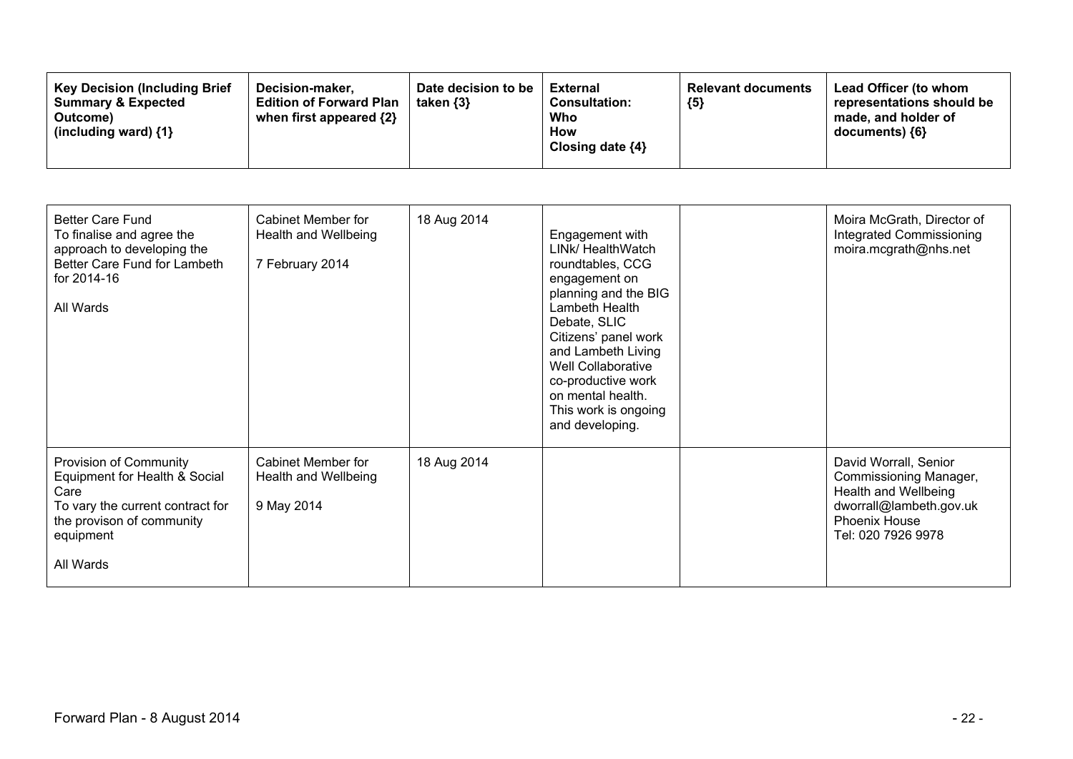| <b>Key Decision (Including Brief</b><br>Decision-maker.<br><b>Edition of Forward Plan</b><br><b>Summary &amp; Expected</b><br>when first appeared $\{2\}$<br>Outcome)<br>(including ward) $\{1\}$ | Date decision to be<br>taken $\{3\}$ | <b>External</b><br><b>Consultation:</b><br>Who<br>How<br>Closing date $\{4\}$ | <b>Relevant documents</b><br>${5}$ | Lead Officer (to whom<br>representations should be<br>made, and holder of<br>$documents)$ {6} |
|---------------------------------------------------------------------------------------------------------------------------------------------------------------------------------------------------|--------------------------------------|-------------------------------------------------------------------------------|------------------------------------|-----------------------------------------------------------------------------------------------|
|---------------------------------------------------------------------------------------------------------------------------------------------------------------------------------------------------|--------------------------------------|-------------------------------------------------------------------------------|------------------------------------|-----------------------------------------------------------------------------------------------|

| <b>Better Care Fund</b><br>To finalise and agree the<br>approach to developing the<br>Better Care Fund for Lambeth<br>for 2014-16<br>All Wards             | Cabinet Member for<br>Health and Wellbeing<br>7 February 2014   | 18 Aug 2014 | Engagement with<br>LINK/ HealthWatch<br>roundtables, CCG<br>engagement on<br>planning and the BIG<br>Lambeth Health<br>Debate, SLIC<br>Citizens' panel work<br>and Lambeth Living<br>Well Collaborative<br>co-productive work<br>on mental health.<br>This work is ongoing<br>and developing. | Moira McGrath, Director of<br>Integrated Commissioning<br>moira.mcgrath@nhs.net                                                           |
|------------------------------------------------------------------------------------------------------------------------------------------------------------|-----------------------------------------------------------------|-------------|-----------------------------------------------------------------------------------------------------------------------------------------------------------------------------------------------------------------------------------------------------------------------------------------------|-------------------------------------------------------------------------------------------------------------------------------------------|
| Provision of Community<br>Equipment for Health & Social<br>Care<br>To vary the current contract for<br>the provison of community<br>equipment<br>All Wards | <b>Cabinet Member for</b><br>Health and Wellbeing<br>9 May 2014 | 18 Aug 2014 |                                                                                                                                                                                                                                                                                               | David Worrall, Senior<br>Commissioning Manager,<br>Health and Wellbeing<br>dworrall@lambeth.gov.uk<br>Phoenix House<br>Tel: 020 7926 9978 |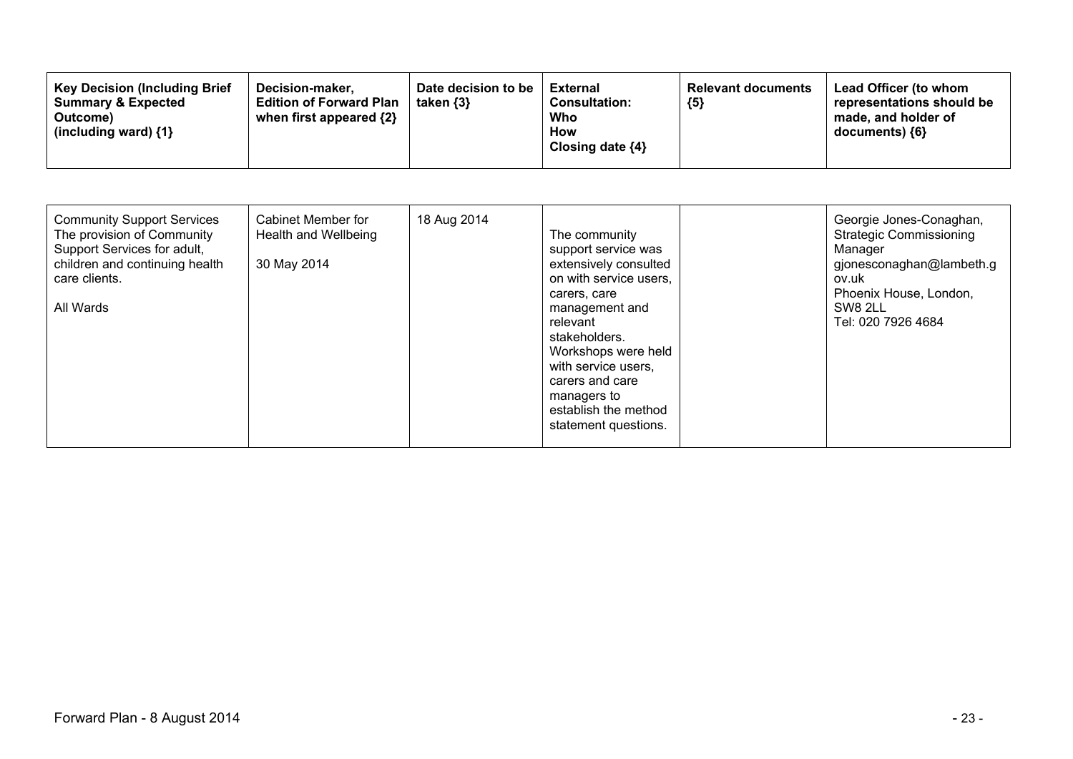| <b>Key Decision (Including Brief)</b><br>Decision-maker,<br><b>Summary &amp; Expected</b><br><b>Edition of Forward Plan</b><br>when first appeared {2}<br>Outcome)<br>(including ward) $\{1\}$ | Date decision to be<br>taken $\{3\}$ | <b>External</b><br><b>Consultation:</b><br>Who<br>How<br>Closing date $\{4\}$ | <b>Relevant documents</b><br>${5}$ | <b>Lead Officer (to whom</b><br>representations should be<br>made, and holder of<br>documents) ${6}$ |
|------------------------------------------------------------------------------------------------------------------------------------------------------------------------------------------------|--------------------------------------|-------------------------------------------------------------------------------|------------------------------------|------------------------------------------------------------------------------------------------------|
|------------------------------------------------------------------------------------------------------------------------------------------------------------------------------------------------|--------------------------------------|-------------------------------------------------------------------------------|------------------------------------|------------------------------------------------------------------------------------------------------|

| <b>Community Support Services</b><br>The provision of Community<br>Support Services for adult,<br>children and continuing health<br>care clients.<br>All Wards | Cabinet Member for<br>Health and Wellbeing<br>30 May 2014 | 18 Aug 2014 | The community<br>support service was<br>extensively consulted<br>on with service users,<br>carers, care<br>management and<br>relevant<br>stakeholders.<br>Workshops were held<br>with service users,<br>carers and care<br>managers to<br>establish the method<br>statement questions. |  | Georgie Jones-Conaghan,<br><b>Strategic Commissioning</b><br>Manager<br>gjonesconaghan@lambeth.g<br>ov.uk<br>Phoenix House, London,<br>SW8 2LL<br>Tel: 020 7926 4684 |
|----------------------------------------------------------------------------------------------------------------------------------------------------------------|-----------------------------------------------------------|-------------|----------------------------------------------------------------------------------------------------------------------------------------------------------------------------------------------------------------------------------------------------------------------------------------|--|----------------------------------------------------------------------------------------------------------------------------------------------------------------------|
|----------------------------------------------------------------------------------------------------------------------------------------------------------------|-----------------------------------------------------------|-------------|----------------------------------------------------------------------------------------------------------------------------------------------------------------------------------------------------------------------------------------------------------------------------------------|--|----------------------------------------------------------------------------------------------------------------------------------------------------------------------|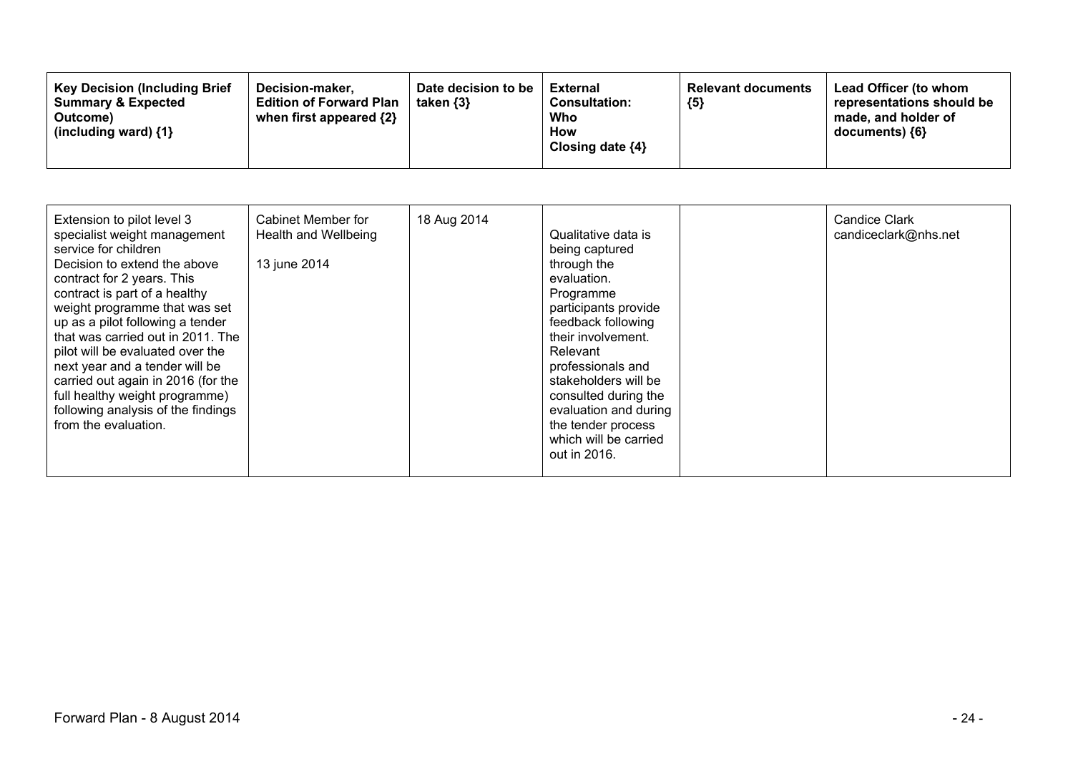| <b>Key Decision (Including Brief</b><br>Decision-maker,<br><b>Summary &amp; Expected</b><br><b>Edition of Forward Plan</b><br>when first appeared {2}<br>Outcome)<br>(including ward) $\{1\}$ | Date decision to be<br>taken $\{3\}$ | External<br><b>Consultation:</b><br>Who<br>How<br>Closing date $\{4\}$ | <b>Relevant documents</b><br>${5}$ | Lead Officer (to whom<br>representations should be<br>made, and holder of<br>documents) {6} |
|-----------------------------------------------------------------------------------------------------------------------------------------------------------------------------------------------|--------------------------------------|------------------------------------------------------------------------|------------------------------------|---------------------------------------------------------------------------------------------|
|-----------------------------------------------------------------------------------------------------------------------------------------------------------------------------------------------|--------------------------------------|------------------------------------------------------------------------|------------------------------------|---------------------------------------------------------------------------------------------|

| Extension to pilot level 3<br>specialist weight management<br>service for children<br>Decision to extend the above<br>contract for 2 years. This<br>contract is part of a healthy<br>weight programme that was set<br>up as a pilot following a tender<br>that was carried out in 2011. The<br>pilot will be evaluated over the<br>next year and a tender will be<br>carried out again in 2016 (for the<br>full healthy weight programme)<br>following analysis of the findings<br>from the evaluation. | Cabinet Member for<br>Health and Wellbeing<br>13 june 2014 | 18 Aug 2014 | Qualitative data is<br>being captured<br>through the<br>evaluation.<br>Programme<br>participants provide<br>feedback following<br>their involvement.<br>Relevant<br>professionals and<br>stakeholders will be<br>consulted during the<br>evaluation and during<br>the tender process<br>which will be carried<br>out in 2016. |  | <b>Candice Clark</b><br>candiceclark@nhs.net |
|---------------------------------------------------------------------------------------------------------------------------------------------------------------------------------------------------------------------------------------------------------------------------------------------------------------------------------------------------------------------------------------------------------------------------------------------------------------------------------------------------------|------------------------------------------------------------|-------------|-------------------------------------------------------------------------------------------------------------------------------------------------------------------------------------------------------------------------------------------------------------------------------------------------------------------------------|--|----------------------------------------------|
|---------------------------------------------------------------------------------------------------------------------------------------------------------------------------------------------------------------------------------------------------------------------------------------------------------------------------------------------------------------------------------------------------------------------------------------------------------------------------------------------------------|------------------------------------------------------------|-------------|-------------------------------------------------------------------------------------------------------------------------------------------------------------------------------------------------------------------------------------------------------------------------------------------------------------------------------|--|----------------------------------------------|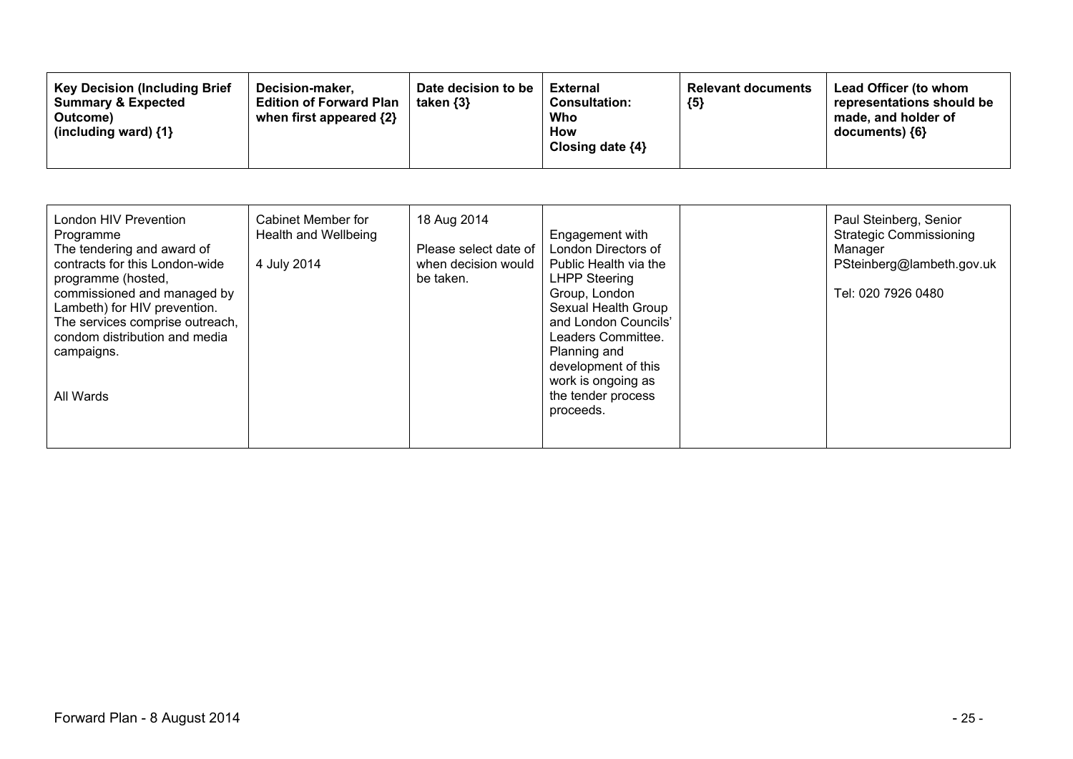| 18 Aug 2014<br>London HIV Prevention<br>Cabinet Member for<br>Health and Wellbeing<br>Programme<br>The tendering and award of<br>contracts for this London-wide<br>4 July 2014<br>be taken.<br>programme (hosted,<br>commissioned and managed by<br>Lambeth) for HIV prevention.<br>The services comprise outreach,<br>condom distribution and media<br>campaigns.<br>All Wards | Paul Steinberg, Senior<br><b>Strategic Commissioning</b><br>Engagement with<br>London Directors of<br>Please select date of<br>Manager<br>when decision would<br>PSteinberg@lambeth.gov.uk<br>Public Health via the<br><b>LHPP Steering</b><br>Tel: 020 7926 0480<br>Group, London<br>Sexual Health Group<br>and London Councils'<br>Leaders Committee.<br>Planning and<br>development of this<br>work is ongoing as<br>the tender process<br>proceeds. |
|---------------------------------------------------------------------------------------------------------------------------------------------------------------------------------------------------------------------------------------------------------------------------------------------------------------------------------------------------------------------------------|---------------------------------------------------------------------------------------------------------------------------------------------------------------------------------------------------------------------------------------------------------------------------------------------------------------------------------------------------------------------------------------------------------------------------------------------------------|
|---------------------------------------------------------------------------------------------------------------------------------------------------------------------------------------------------------------------------------------------------------------------------------------------------------------------------------------------------------------------------------|---------------------------------------------------------------------------------------------------------------------------------------------------------------------------------------------------------------------------------------------------------------------------------------------------------------------------------------------------------------------------------------------------------------------------------------------------------|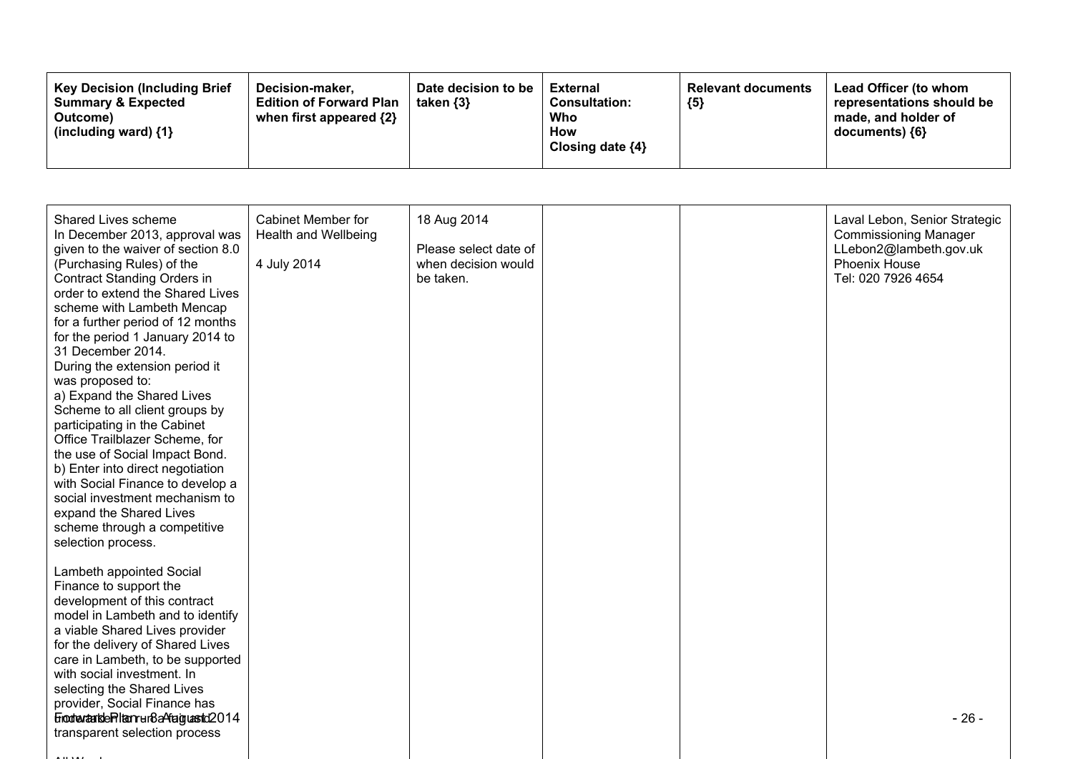| <b>Key Decision (Including Brief</b><br>Decision-maker.<br><b>Summary &amp; Expected</b><br><b>Edition of Forward Plan</b><br>when first appeared $\{2\}$<br>Outcome)<br>(including ward) $\{1\}$ | Date decision to be<br>taken {3} | <b>External</b><br><b>Consultation:</b><br>Who<br>How<br>Closing date $\{4\}$ | <b>Relevant documents</b><br>${5}$ | <b>Lead Officer (to whom</b><br>representations should be<br>made, and holder of<br>documents) ${6}$ |
|---------------------------------------------------------------------------------------------------------------------------------------------------------------------------------------------------|----------------------------------|-------------------------------------------------------------------------------|------------------------------------|------------------------------------------------------------------------------------------------------|
|---------------------------------------------------------------------------------------------------------------------------------------------------------------------------------------------------|----------------------------------|-------------------------------------------------------------------------------|------------------------------------|------------------------------------------------------------------------------------------------------|

| Shared Lives scheme<br>In December 2013, approval was<br>given to the waiver of section 8.0<br>(Purchasing Rules) of the<br><b>Contract Standing Orders in</b><br>order to extend the Shared Lives<br>scheme with Lambeth Mencap<br>for a further period of 12 months<br>for the period 1 January 2014 to<br>31 December 2014.<br>During the extension period it<br>was proposed to:<br>a) Expand the Shared Lives<br>Scheme to all client groups by<br>participating in the Cabinet<br>Office Trailblazer Scheme, for<br>the use of Social Impact Bond.<br>b) Enter into direct negotiation<br>with Social Finance to develop a<br>social investment mechanism to<br>expand the Shared Lives<br>scheme through a competitive<br>selection process. | <b>Cabinet Member for</b><br>Health and Wellbeing<br>4 July 2014 | 18 Aug 2014<br>Please select date of<br>when decision would<br>be taken. |  | Laval Lebon, Senior Strategic<br><b>Commissioning Manager</b><br>LLebon2@lambeth.gov.uk<br>Phoenix House<br>Tel: 020 7926 4654 |
|-----------------------------------------------------------------------------------------------------------------------------------------------------------------------------------------------------------------------------------------------------------------------------------------------------------------------------------------------------------------------------------------------------------------------------------------------------------------------------------------------------------------------------------------------------------------------------------------------------------------------------------------------------------------------------------------------------------------------------------------------------|------------------------------------------------------------------|--------------------------------------------------------------------------|--|--------------------------------------------------------------------------------------------------------------------------------|
| Lambeth appointed Social<br>Finance to support the<br>development of this contract<br>model in Lambeth and to identify<br>a viable Shared Lives provider<br>for the delivery of Shared Lives<br>care in Lambeth, to be supported<br>with social investment. In<br>selecting the Shared Lives<br>provider, Social Finance has<br>EnodranankleRlamrun8aAfaiguastd2014<br>transparent selection process                                                                                                                                                                                                                                                                                                                                                |                                                                  |                                                                          |  | $-26-$                                                                                                                         |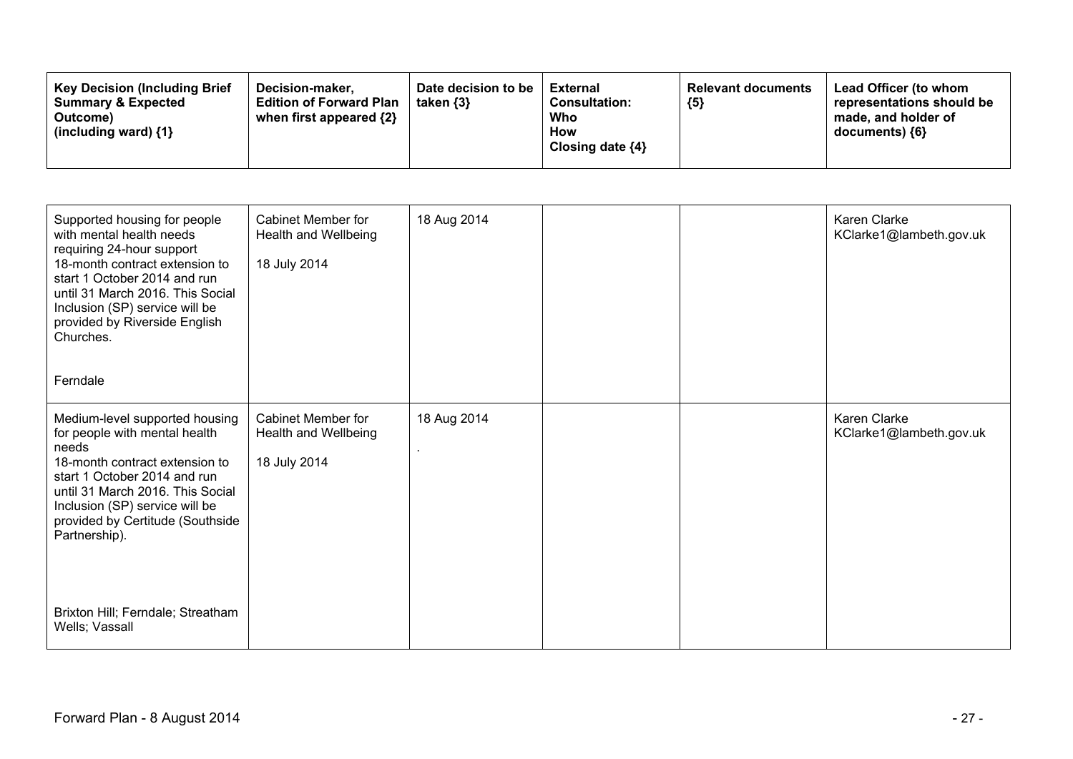| Supported housing for people<br>with mental health needs<br>requiring 24-hour support<br>18-month contract extension to<br>start 1 October 2014 and run<br>until 31 March 2016. This Social<br>Inclusion (SP) service will be<br>provided by Riverside English<br>Churches.<br>Ferndale                                      | <b>Cabinet Member for</b><br>Health and Wellbeing<br>18 July 2014 | 18 Aug 2014 |  | Karen Clarke<br>KClarke1@lambeth.gov.uk        |
|------------------------------------------------------------------------------------------------------------------------------------------------------------------------------------------------------------------------------------------------------------------------------------------------------------------------------|-------------------------------------------------------------------|-------------|--|------------------------------------------------|
| Medium-level supported housing<br>for people with mental health<br>needs<br>18-month contract extension to<br>start 1 October 2014 and run<br>until 31 March 2016. This Social<br>Inclusion (SP) service will be<br>provided by Certitude (Southside<br>Partnership).<br>Brixton Hill; Ferndale; Streatham<br>Wells; Vassall | <b>Cabinet Member for</b><br>Health and Wellbeing<br>18 July 2014 | 18 Aug 2014 |  | <b>Karen Clarke</b><br>KClarke1@lambeth.gov.uk |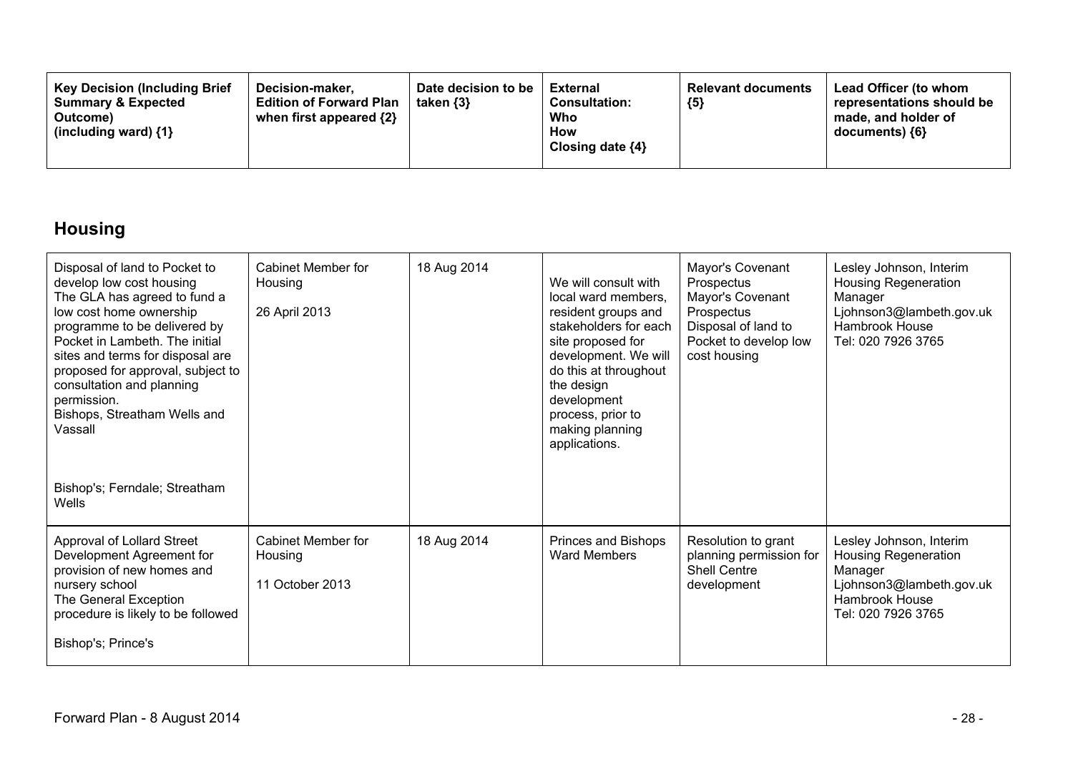| <b>Key Decision (Including Brief</b><br>Decision-maker.<br><b>Summary &amp; Expected</b><br><b>Edition of Forward Plan</b><br>when first appeared {2}<br>Outcome)<br>(including ward) {1} | Date decision to be<br>taken $\{3\}$ | <b>External</b><br><b>Consultation:</b><br>Who<br>How<br>Closing date $\{4\}$ | <b>Relevant documents</b><br>${5}$ | <b>Lead Officer (to whom</b><br>representations should be<br>made, and holder of<br>documents) {6} |
|-------------------------------------------------------------------------------------------------------------------------------------------------------------------------------------------|--------------------------------------|-------------------------------------------------------------------------------|------------------------------------|----------------------------------------------------------------------------------------------------|
|-------------------------------------------------------------------------------------------------------------------------------------------------------------------------------------------|--------------------------------------|-------------------------------------------------------------------------------|------------------------------------|----------------------------------------------------------------------------------------------------|

# **Housing**

| Disposal of land to Pocket to<br>develop low cost housing<br>The GLA has agreed to fund a<br>low cost home ownership<br>programme to be delivered by<br>Pocket in Lambeth. The initial<br>sites and terms for disposal are<br>proposed for approval, subject to<br>consultation and planning<br>permission.<br>Bishops, Streatham Wells and<br>Vassall<br>Bishop's; Ferndale; Streatham | Cabinet Member for<br>Housing<br>26 April 2013   | 18 Aug 2014 | We will consult with<br>local ward members.<br>resident groups and<br>stakeholders for each<br>site proposed for<br>development. We will<br>do this at throughout<br>the design<br>development<br>process, prior to<br>making planning<br>applications. | Mayor's Covenant<br>Prospectus<br>Mayor's Covenant<br>Prospectus<br>Disposal of land to<br>Pocket to develop low<br>cost housing | Lesley Johnson, Interim<br><b>Housing Regeneration</b><br>Manager<br>Ljohnson3@lambeth.gov.uk<br>Hambrook House<br>Tel: 020 7926 3765 |
|-----------------------------------------------------------------------------------------------------------------------------------------------------------------------------------------------------------------------------------------------------------------------------------------------------------------------------------------------------------------------------------------|--------------------------------------------------|-------------|---------------------------------------------------------------------------------------------------------------------------------------------------------------------------------------------------------------------------------------------------------|----------------------------------------------------------------------------------------------------------------------------------|---------------------------------------------------------------------------------------------------------------------------------------|
| Wells                                                                                                                                                                                                                                                                                                                                                                                   |                                                  |             |                                                                                                                                                                                                                                                         |                                                                                                                                  |                                                                                                                                       |
| Approval of Lollard Street<br>Development Agreement for<br>provision of new homes and<br>nursery school<br>The General Exception<br>procedure is likely to be followed<br>Bishop's; Prince's                                                                                                                                                                                            | Cabinet Member for<br>Housing<br>11 October 2013 | 18 Aug 2014 | Princes and Bishops<br><b>Ward Members</b>                                                                                                                                                                                                              | Resolution to grant<br>planning permission for<br><b>Shell Centre</b><br>development                                             | Lesley Johnson, Interim<br><b>Housing Regeneration</b><br>Manager<br>Ljohnson3@lambeth.gov.uk<br>Hambrook House<br>Tel: 020 7926 3765 |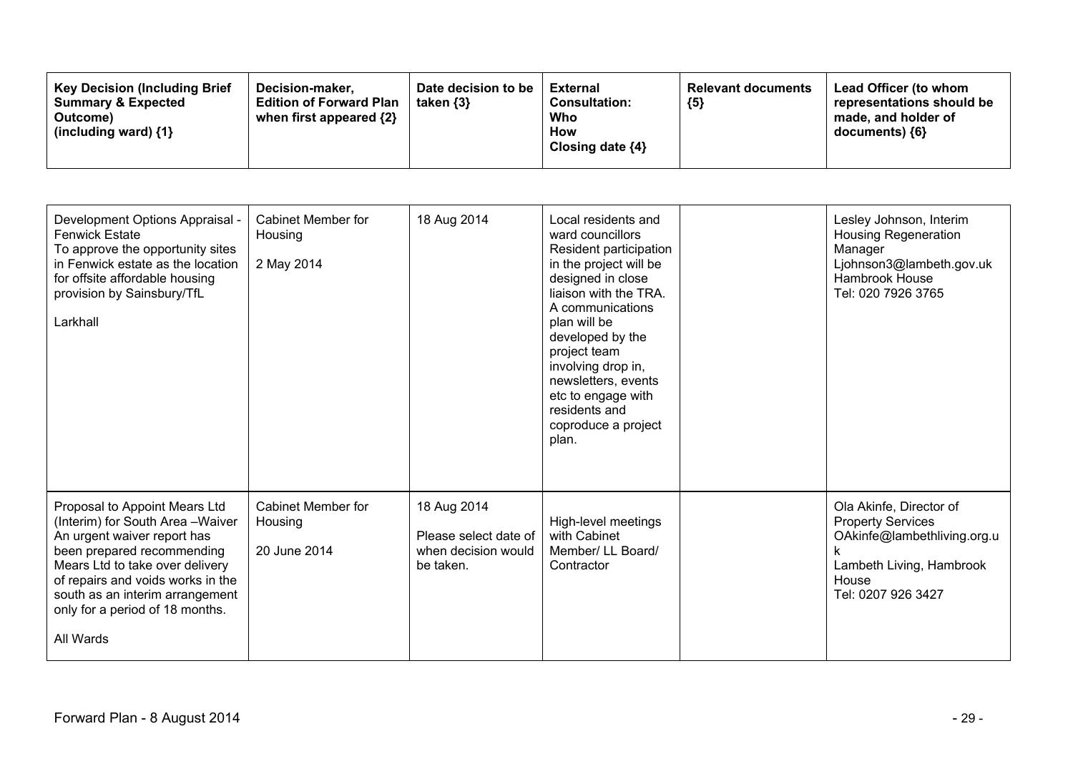| <b>Key Decision (Including Brief)</b><br>Decision-maker.<br><b>Summary &amp; Expected</b><br><b>Edition of Forward Plan</b><br>when first appeared {2}<br>Outcome)<br>(including ward) $\{1\}$ | Date decision to be<br>taken $\{3\}$ | External<br><b>Consultation:</b><br>Who<br>How<br>Closing date ${4}$ | <b>Relevant documents</b><br>${5}$ | Lead Officer (to whom<br>representations should be<br>made, and holder of<br>$documents)$ {6} |
|------------------------------------------------------------------------------------------------------------------------------------------------------------------------------------------------|--------------------------------------|----------------------------------------------------------------------|------------------------------------|-----------------------------------------------------------------------------------------------|
|------------------------------------------------------------------------------------------------------------------------------------------------------------------------------------------------|--------------------------------------|----------------------------------------------------------------------|------------------------------------|-----------------------------------------------------------------------------------------------|

| Development Options Appraisal -<br><b>Fenwick Estate</b><br>To approve the opportunity sites<br>in Fenwick estate as the location<br>for offsite affordable housing<br>provision by Sainsbury/TfL<br>Larkhall                                                                            | Cabinet Member for<br>Housing<br>2 May 2014   | 18 Aug 2014                                                              | Local residents and<br>ward councillors<br>Resident participation<br>in the project will be<br>designed in close<br>liaison with the TRA.<br>A communications<br>plan will be<br>developed by the<br>project team<br>involving drop in,<br>newsletters, events<br>etc to engage with<br>residents and<br>coproduce a project<br>plan. | Lesley Johnson, Interim<br><b>Housing Regeneration</b><br>Manager<br>Ljohnson3@lambeth.gov.uk<br>Hambrook House<br>Tel: 020 7926 3765         |
|------------------------------------------------------------------------------------------------------------------------------------------------------------------------------------------------------------------------------------------------------------------------------------------|-----------------------------------------------|--------------------------------------------------------------------------|---------------------------------------------------------------------------------------------------------------------------------------------------------------------------------------------------------------------------------------------------------------------------------------------------------------------------------------|-----------------------------------------------------------------------------------------------------------------------------------------------|
| Proposal to Appoint Mears Ltd<br>(Interim) for South Area-Waiver<br>An urgent waiver report has<br>been prepared recommending<br>Mears Ltd to take over delivery<br>of repairs and voids works in the<br>south as an interim arrangement<br>only for a period of 18 months.<br>All Wards | Cabinet Member for<br>Housing<br>20 June 2014 | 18 Aug 2014<br>Please select date of<br>when decision would<br>be taken. | High-level meetings<br>with Cabinet<br>Member/ LL Board/<br>Contractor                                                                                                                                                                                                                                                                | Ola Akinfe, Director of<br><b>Property Services</b><br>OAkinfe@lambethliving.org.u<br>Lambeth Living, Hambrook<br>House<br>Tel: 0207 926 3427 |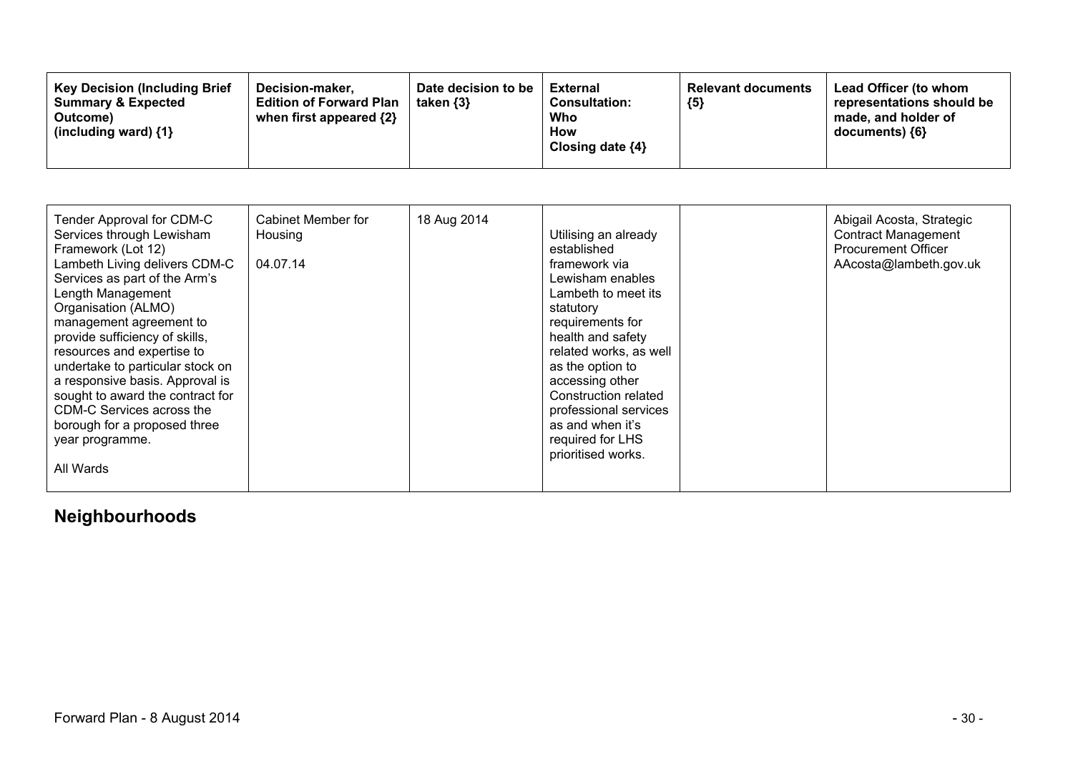| <b>Key Decision (Including Brief)</b><br>Decision-maker,<br><b>Summary &amp; Expected</b><br><b>Edition of Forward Plan</b><br>when first appeared {2}<br>Outcome)<br>(including ward) $\{1\}$ | Date decision to be<br>taken $\{3\}$ | <b>External</b><br><b>Consultation:</b><br>Who<br>How<br>Closing date $\{4\}$ | <b>Relevant documents</b><br>${5}$ | Lead Officer (to whom<br>representations should be<br>made, and holder of<br>$documents)$ {6} |
|------------------------------------------------------------------------------------------------------------------------------------------------------------------------------------------------|--------------------------------------|-------------------------------------------------------------------------------|------------------------------------|-----------------------------------------------------------------------------------------------|
|------------------------------------------------------------------------------------------------------------------------------------------------------------------------------------------------|--------------------------------------|-------------------------------------------------------------------------------|------------------------------------|-----------------------------------------------------------------------------------------------|

| Tender Approval for CDM-C<br>Services through Lewisham<br>Framework (Lot 12)<br>Lambeth Living delivers CDM-C<br>Services as part of the Arm's<br>Length Management<br>Organisation (ALMO)<br>management agreement to<br>provide sufficiency of skills,<br>resources and expertise to<br>undertake to particular stock on<br>a responsive basis. Approval is<br>sought to award the contract for<br>CDM-C Services across the<br>borough for a proposed three<br>year programme.<br>All Wards | Cabinet Member for<br>Housing<br>04.07.14 | 18 Aug 2014 | Utilising an already<br>established<br>framework via<br>Lewisham enables<br>Lambeth to meet its<br>statutory<br>requirements for<br>health and safety<br>related works, as well<br>as the option to<br>accessing other<br>Construction related<br>professional services<br>as and when it's<br>required for LHS<br>prioritised works. |  | Abigail Acosta, Strategic<br><b>Contract Management</b><br><b>Procurement Officer</b><br>AAcosta@lambeth.gov.uk |
|-----------------------------------------------------------------------------------------------------------------------------------------------------------------------------------------------------------------------------------------------------------------------------------------------------------------------------------------------------------------------------------------------------------------------------------------------------------------------------------------------|-------------------------------------------|-------------|---------------------------------------------------------------------------------------------------------------------------------------------------------------------------------------------------------------------------------------------------------------------------------------------------------------------------------------|--|-----------------------------------------------------------------------------------------------------------------|
|-----------------------------------------------------------------------------------------------------------------------------------------------------------------------------------------------------------------------------------------------------------------------------------------------------------------------------------------------------------------------------------------------------------------------------------------------------------------------------------------------|-------------------------------------------|-------------|---------------------------------------------------------------------------------------------------------------------------------------------------------------------------------------------------------------------------------------------------------------------------------------------------------------------------------------|--|-----------------------------------------------------------------------------------------------------------------|

# **Neighbourhoods**